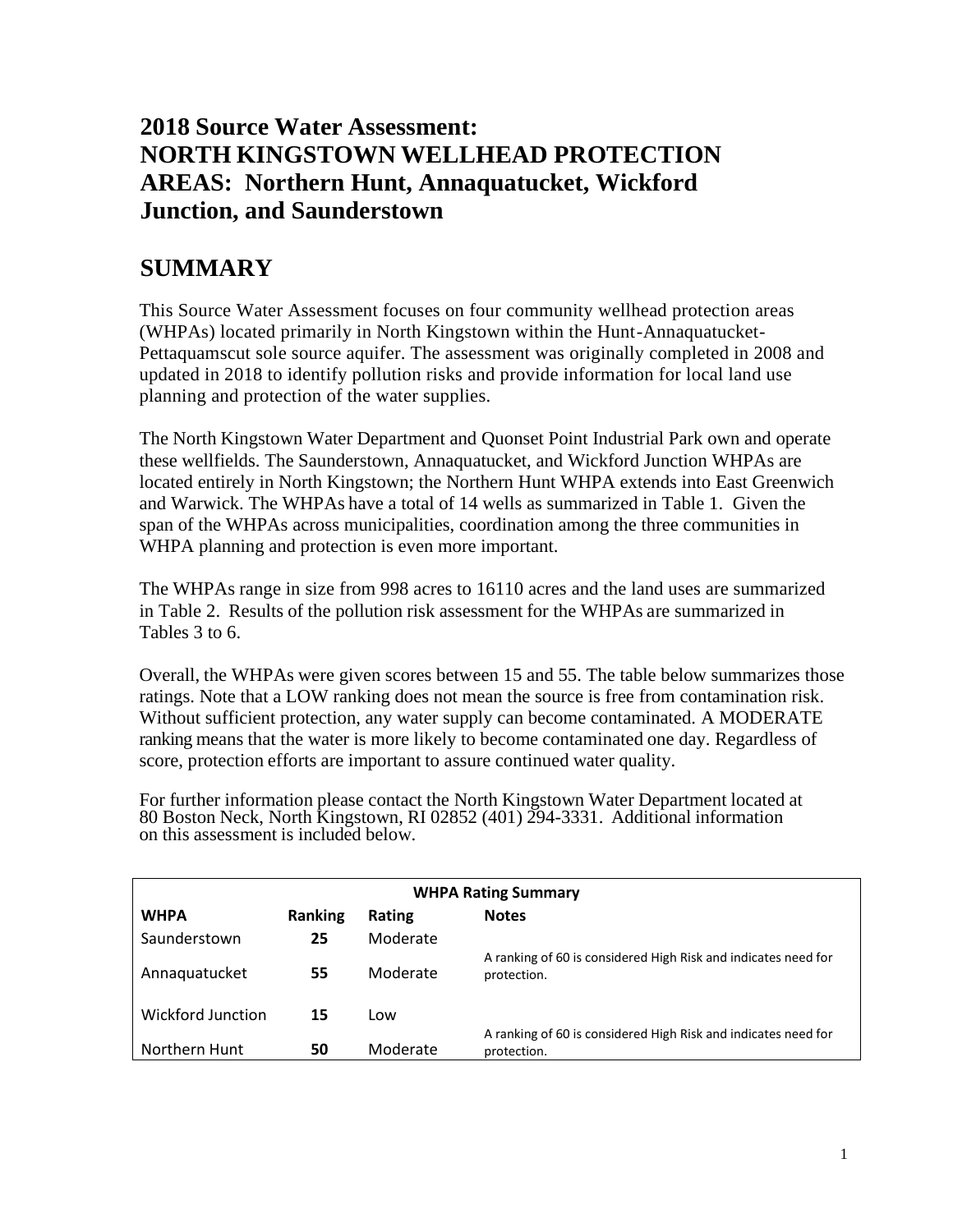# **2018 Source Water Assessment: NORTH KINGSTOWN WELLHEAD PROTECTION AREAS: Northern Hunt, Annaquatucket, Wickford Junction, and Saunderstown**

# **SUMMARY**

This Source Water Assessment focuses on four community wellhead protection areas (WHPAs) located primarily in North Kingstown within the Hunt-Annaquatucket-Pettaquamscut sole source aquifer. The assessment was originally completed in 2008 and updated in 2018 to identify pollution risks and provide information for local land use planning and protection of the water supplies.

The North Kingstown Water Department and Quonset Point Industrial Park own and operate these wellfields. The Saunderstown, Annaquatucket, and Wickford Junction WHPAs are located entirely in North Kingstown; the Northern Hunt WHPA extends into East Greenwich and Warwick. The WHPAs have a total of 14 wells as summarized in Table 1. Given the span of the WHPAs across municipalities, coordination among the three communities in WHPA planning and protection is even more important.

The WHPAs range in size from 998 acres to 16110 acres and the land uses are summarized in Table 2. Results of the pollution risk assessment for the WHPAs are summarized in Tables 3 to 6.

Overall, the WHPAs were given scores between 15 and 55. The table below summarizes those ratings. Note that a LOW ranking does not mean the source is free from contamination risk. Without sufficient protection, any water supply can become contaminated. A MODERATE ranking means that the water is more likely to become contaminated one day. Regardless of score, protection efforts are important to assure continued water quality.

For further information please contact the North Kingstown Water Department located at 80 Boston Neck, North Kingstown, RI 02852 (401) 294-3331. Additional information on this assessment is included below.

| <b>WHPA Rating Summary</b> |                |          |                                                                               |  |  |  |
|----------------------------|----------------|----------|-------------------------------------------------------------------------------|--|--|--|
| <b>WHPA</b>                | <b>Ranking</b> | Rating   | <b>Notes</b>                                                                  |  |  |  |
| Saunderstown               | 25             | Moderate |                                                                               |  |  |  |
| Annaquatucket              | 55             | Moderate | A ranking of 60 is considered High Risk and indicates need for<br>protection. |  |  |  |
| <b>Wickford Junction</b>   | 15             | Low      |                                                                               |  |  |  |
| Northern Hunt              | 50             | Moderate | A ranking of 60 is considered High Risk and indicates need for<br>protection. |  |  |  |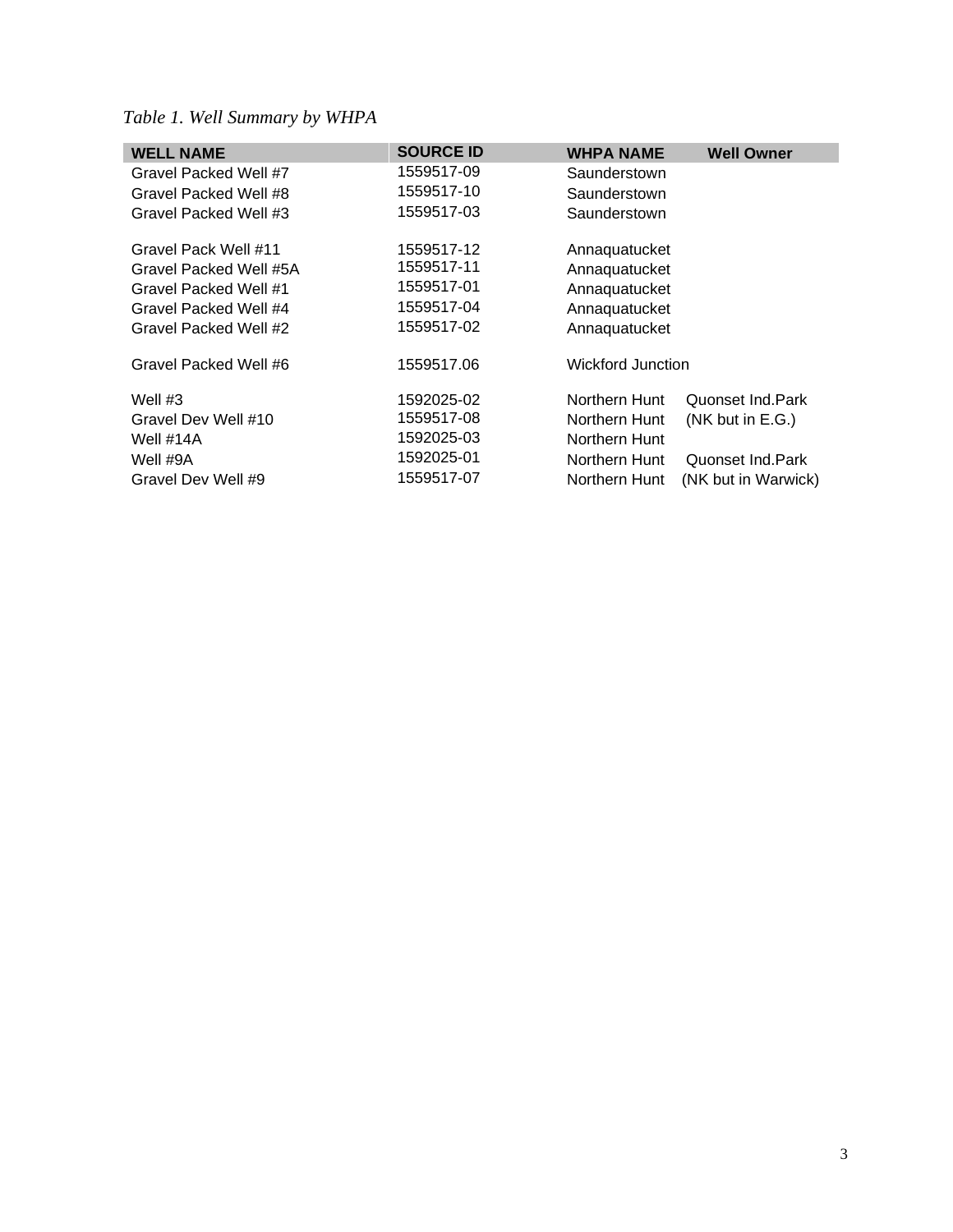# *Table 1. Well Summary by WHPA*

| <b>WELL NAME</b>       | <b>SOURCE ID</b> | <b>WHPA NAME</b>         | <b>Well Owner</b>   |
|------------------------|------------------|--------------------------|---------------------|
| Gravel Packed Well #7  | 1559517-09       | Saunderstown             |                     |
| Gravel Packed Well #8  | 1559517-10       | Saunderstown             |                     |
| Gravel Packed Well #3  | 1559517-03       | Saunderstown             |                     |
| Gravel Pack Well #11   | 1559517-12       | Annaquatucket            |                     |
| Gravel Packed Well #5A | 1559517-11       | Annaquatucket            |                     |
| Gravel Packed Well #1  | 1559517-01       | Annaquatucket            |                     |
| Gravel Packed Well #4  | 1559517-04       | Annaquatucket            |                     |
| Gravel Packed Well #2  | 1559517-02       | Annaguatucket            |                     |
| Gravel Packed Well #6  | 1559517.06       | <b>Wickford Junction</b> |                     |
| Well $#3$              | 1592025-02       | Northern Hunt            | Quonset Ind Park    |
| Gravel Dev Well #10    | 1559517-08       | Northern Hunt            | $(NK)$ but in E.G.) |
| Well #14A              | 1592025-03       | Northern Hunt            |                     |
| Well #9A               | 1592025-01       | Northern Hunt            | Quonset Ind. Park   |
| Gravel Dev Well #9     | 1559517-07       | Northern Hunt            | (NK but in Warwick) |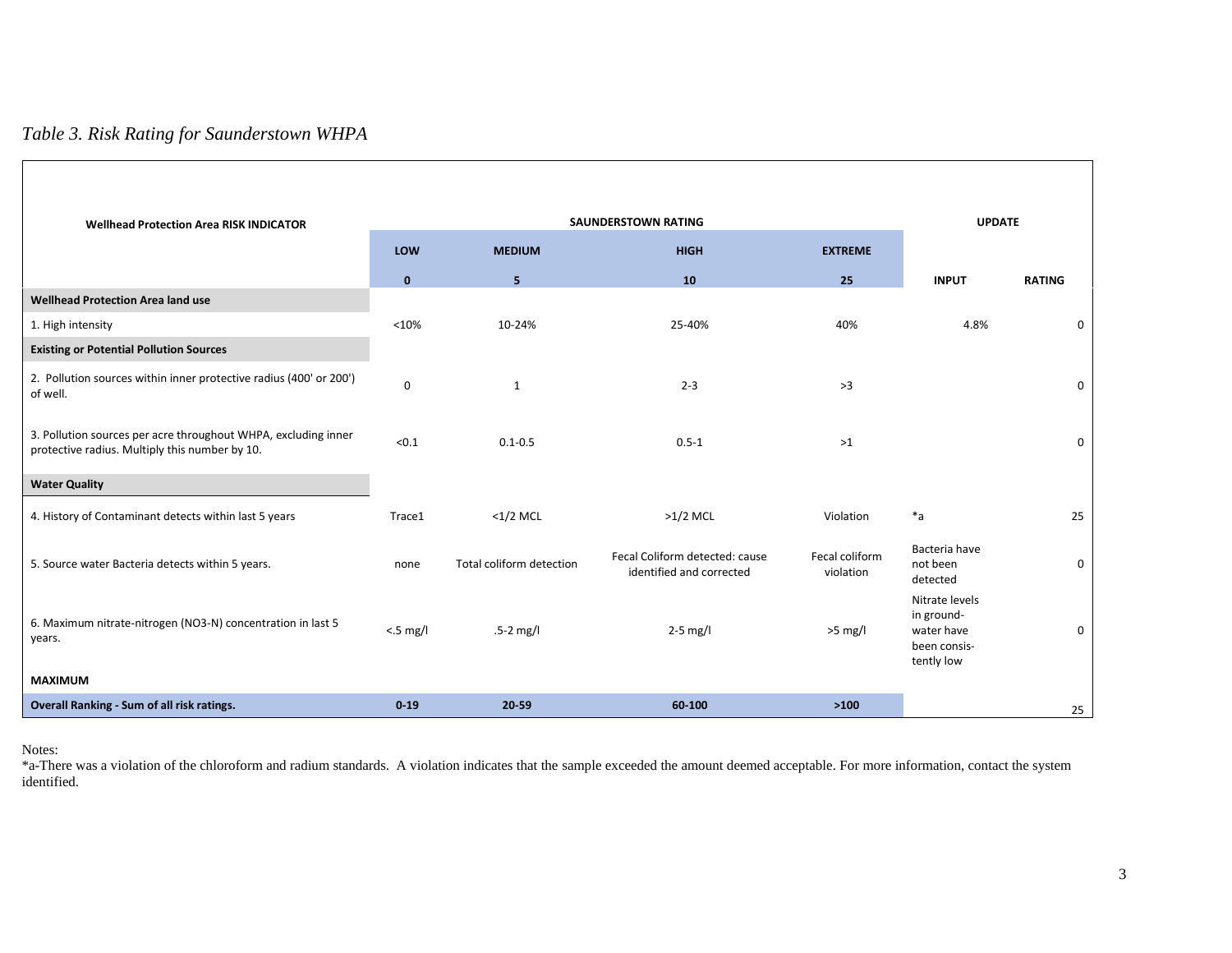## *Table 3. Risk Rating for Saunderstown WHPA*

|                                                                                                                  |              |                          | <b>SAUNDERSTOWN RATING</b>                                 |                             | <b>UPDATE</b>                                                            |               |
|------------------------------------------------------------------------------------------------------------------|--------------|--------------------------|------------------------------------------------------------|-----------------------------|--------------------------------------------------------------------------|---------------|
| <b>Wellhead Protection Area RISK INDICATOR</b>                                                                   | LOW          | <b>MEDIUM</b>            | <b>HIGH</b>                                                | <b>EXTREME</b>              |                                                                          |               |
|                                                                                                                  | $\mathbf{0}$ | 5.                       | 10                                                         | 25                          | <b>INPUT</b>                                                             | <b>RATING</b> |
| <b>Wellhead Protection Area land use</b>                                                                         |              |                          |                                                            |                             |                                                                          |               |
| 1. High intensity                                                                                                | < 10%        | 10-24%                   | 25-40%                                                     | 40%                         | 4.8%                                                                     | 0             |
| <b>Existing or Potential Pollution Sources</b>                                                                   |              |                          |                                                            |                             |                                                                          |               |
| 2. Pollution sources within inner protective radius (400' or 200')<br>of well.                                   | $\mathbf 0$  | $\mathbf{1}$             | $2 - 3$                                                    | >3                          |                                                                          | $\mathbf 0$   |
| 3. Pollution sources per acre throughout WHPA, excluding inner<br>protective radius. Multiply this number by 10. | < 0.1        | $0.1 - 0.5$              | $0.5 - 1$                                                  | >1                          |                                                                          | $\mathbf 0$   |
| <b>Water Quality</b>                                                                                             |              |                          |                                                            |                             |                                                                          |               |
| 4. History of Contaminant detects within last 5 years                                                            | Trace1       | $<$ 1/2 MCL              | $>1/2$ MCL                                                 | Violation                   | $*a$                                                                     | 25            |
| 5. Source water Bacteria detects within 5 years.                                                                 | none         | Total coliform detection | Fecal Coliform detected: cause<br>identified and corrected | Fecal coliform<br>violation | Bacteria have<br>not been<br>detected                                    | 0             |
| 6. Maximum nitrate-nitrogen (NO3-N) concentration in last 5<br>years.                                            | $< 5$ mg/l   | $.5 - 2$ mg/l            | $2-5$ mg/l                                                 | $>5$ mg/l                   | Nitrate levels<br>in ground-<br>water have<br>been consis-<br>tently low | 0             |
| <b>MAXIMUM</b>                                                                                                   |              |                          |                                                            |                             |                                                                          |               |
| Overall Ranking - Sum of all risk ratings.                                                                       | $0 - 19$     | 20-59                    | 60-100                                                     | >100                        |                                                                          | 25            |

Notes:

Г

\*a-There was a violation of the chloroform and radium standards. A violation indicates that the sample exceeded the amount deemed acceptable. For more information, contact the system identified.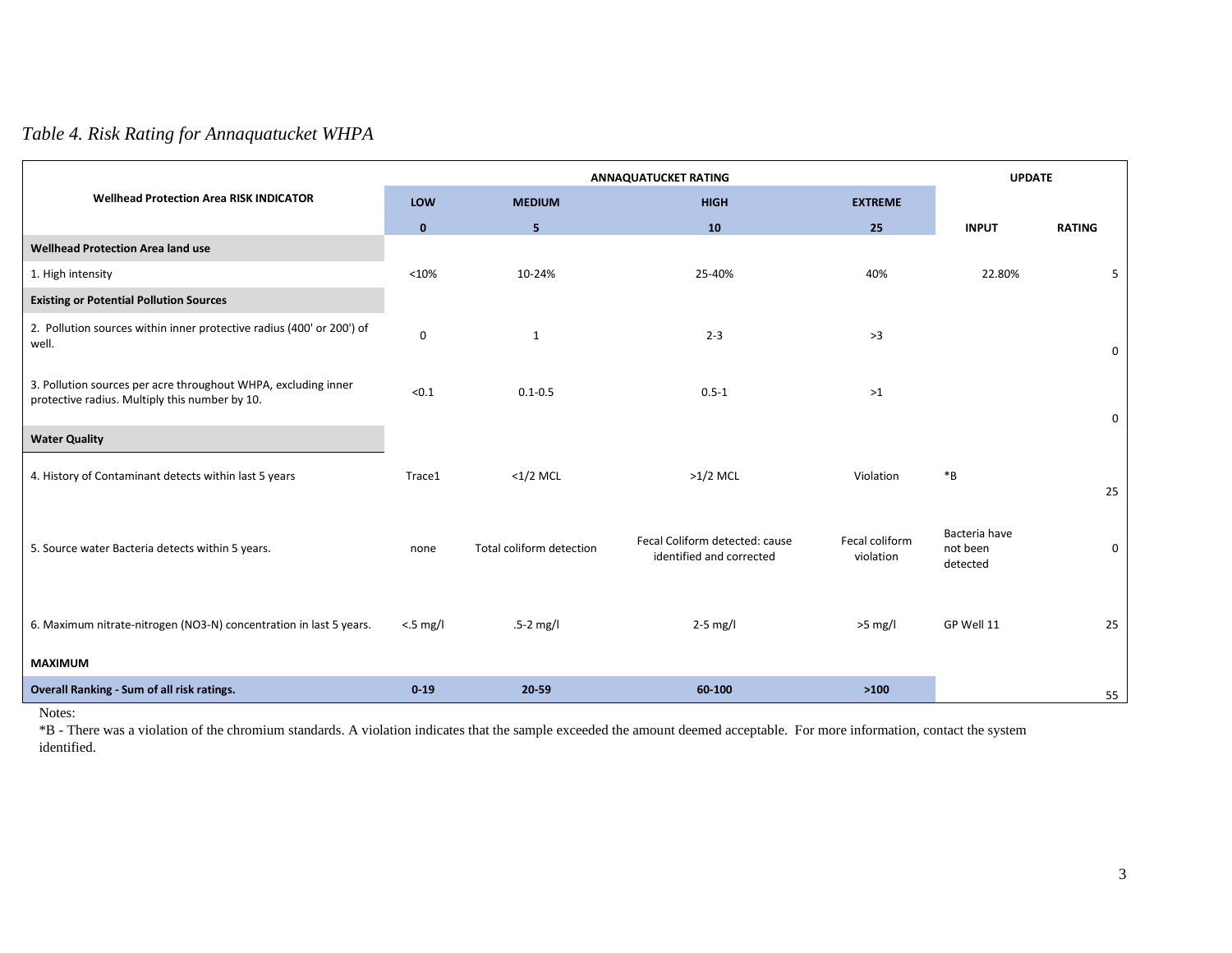## *Table 4. Risk Rating for Annaquatucket WHPA*

|                                                                                                                  |              |                          | <b>ANNAQUATUCKET RATING</b>                                |                             | <b>UPDATE</b>                         |               |
|------------------------------------------------------------------------------------------------------------------|--------------|--------------------------|------------------------------------------------------------|-----------------------------|---------------------------------------|---------------|
| <b>Wellhead Protection Area RISK INDICATOR</b>                                                                   | LOW          | <b>MEDIUM</b>            | <b>HIGH</b>                                                | <b>EXTREME</b>              |                                       |               |
|                                                                                                                  | $\mathbf{0}$ | 5                        | 10                                                         | 25                          | <b>INPUT</b>                          | <b>RATING</b> |
| <b>Wellhead Protection Area land use</b>                                                                         |              |                          |                                                            |                             |                                       |               |
| 1. High intensity                                                                                                | < 10%        | 10-24%                   | 25-40%                                                     | 40%                         | 22.80%                                | 5             |
| <b>Existing or Potential Pollution Sources</b>                                                                   |              |                          |                                                            |                             |                                       |               |
| 2. Pollution sources within inner protective radius (400' or 200') of<br>well.                                   | $\mathsf 0$  | $\mathbf{1}$             | $2 - 3$                                                    | >3                          |                                       | 0             |
| 3. Pollution sources per acre throughout WHPA, excluding inner<br>protective radius. Multiply this number by 10. | < 0.1        | $0.1 - 0.5$              | $0.5 - 1$                                                  | $>1$                        |                                       | 0             |
| <b>Water Quality</b>                                                                                             |              |                          |                                                            |                             |                                       |               |
| 4. History of Contaminant detects within last 5 years                                                            | Trace1       | $<1/2$ MCL               | $>1/2$ MCL                                                 | Violation                   | $\boldsymbol{*}\textsf{B}$            | 25            |
| 5. Source water Bacteria detects within 5 years.                                                                 | none         | Total coliform detection | Fecal Coliform detected: cause<br>identified and corrected | Fecal coliform<br>violation | Bacteria have<br>not been<br>detected | 0             |
| 6. Maximum nitrate-nitrogen (NO3-N) concentration in last 5 years.                                               | $< 5$ mg/l   | $.5-2$ mg/l              | $2-5$ mg/l                                                 | $>5$ mg/l                   | GP Well 11                            | 25            |
| <b>MAXIMUM</b>                                                                                                   |              |                          |                                                            |                             |                                       |               |
| Overall Ranking - Sum of all risk ratings.                                                                       | 0.19         | 20-59                    | 60-100                                                     | $>100$                      |                                       | 55            |

Notes:

\*B - There was a violation of the chromium standards. A violation indicates that the sample exceeded the amount deemed acceptable. For more information, contact the system identified.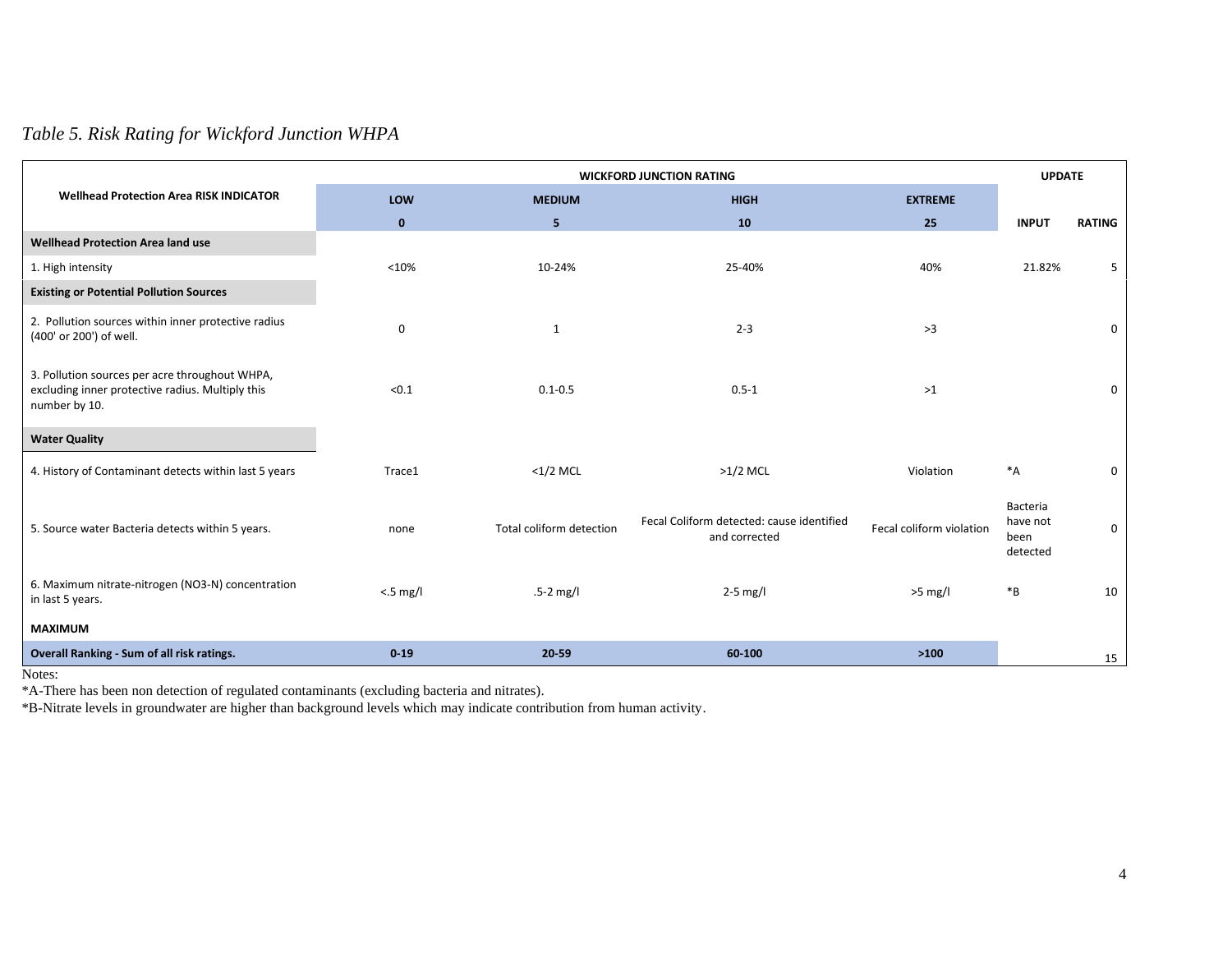# *Table 5. Risk Rating for Wickford Junction WHPA*

|                                                                                                                     |                                     | <b>UPDATE</b>            |                                                            |                          |                                          |               |
|---------------------------------------------------------------------------------------------------------------------|-------------------------------------|--------------------------|------------------------------------------------------------|--------------------------|------------------------------------------|---------------|
| <b>Wellhead Protection Area RISK INDICATOR</b>                                                                      | LOW<br><b>HIGH</b><br><b>MEDIUM</b> |                          | <b>EXTREME</b>                                             |                          |                                          |               |
|                                                                                                                     | $\mathbf{0}$                        | 5                        | 10                                                         | 25                       | <b>INPUT</b>                             | <b>RATING</b> |
| <b>Wellhead Protection Area land use</b>                                                                            |                                     |                          |                                                            |                          |                                          |               |
| 1. High intensity                                                                                                   | < 10%                               | 10-24%                   | 25-40%                                                     | 40%                      | 21.82%                                   | 5             |
| <b>Existing or Potential Pollution Sources</b>                                                                      |                                     |                          |                                                            |                          |                                          |               |
| 2. Pollution sources within inner protective radius<br>(400' or 200') of well.                                      | $\mathbf 0$                         | $\mathbf{1}$             | $2 - 3$                                                    | >3                       |                                          | $\mathbf 0$   |
| 3. Pollution sources per acre throughout WHPA,<br>excluding inner protective radius. Multiply this<br>number by 10. | < 0.1                               | $0.1 - 0.5$              | $0.5 - 1$                                                  | >1                       |                                          | $\mathbf 0$   |
| <b>Water Quality</b>                                                                                                |                                     |                          |                                                            |                          |                                          |               |
| 4. History of Contaminant detects within last 5 years                                                               | Trace1                              | $<$ 1/2 MCL              | $>1/2$ MCL                                                 | Violation                | $^*A$                                    | 0             |
| 5. Source water Bacteria detects within 5 years.                                                                    | none                                | Total coliform detection | Fecal Coliform detected: cause identified<br>and corrected | Fecal coliform violation | Bacteria<br>have not<br>been<br>detected | $\mathbf 0$   |
| 6. Maximum nitrate-nitrogen (NO3-N) concentration<br>in last 5 years.                                               | $< 5$ mg/l                          | $.5-2$ mg/l              | $2-5$ mg/l                                                 | $>5$ mg/l                | ${}^*B$                                  | 10            |
| <b>MAXIMUM</b>                                                                                                      |                                     |                          |                                                            |                          |                                          |               |
| Overall Ranking - Sum of all risk ratings.                                                                          | 0.19                                | 20-59                    | 60-100                                                     | >100                     |                                          | 15            |

Notes:

\*A-There has been non detection of regulated contaminants (excluding bacteria and nitrates).

\*B-Nitrate levels in groundwater are higher than background levels which may indicate contribution from human activity.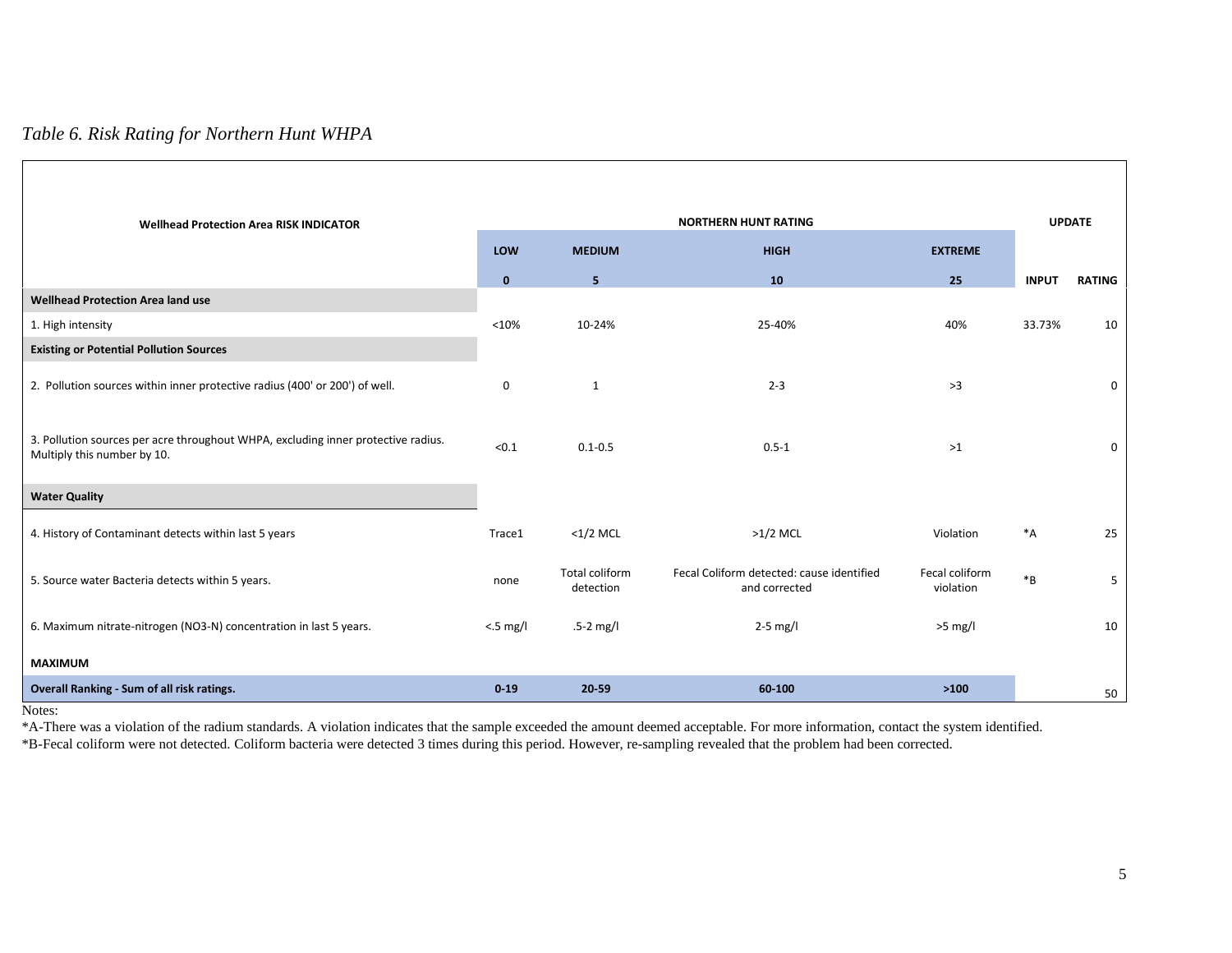### *Table 6. Risk Rating for Northern Hunt WHPA*

| <b>Wellhead Protection Area RISK INDICATOR</b>                                                                   |                    | <b>NORTHERN HUNT RATING</b>        |                                                            |                             |              |               |
|------------------------------------------------------------------------------------------------------------------|--------------------|------------------------------------|------------------------------------------------------------|-----------------------------|--------------|---------------|
|                                                                                                                  | LOW                | <b>MEDIUM</b>                      | <b>HIGH</b>                                                | <b>EXTREME</b>              |              |               |
|                                                                                                                  | $\mathbf{0}$       | 5                                  | 10                                                         | 25                          | <b>INPUT</b> | <b>RATING</b> |
| <b>Wellhead Protection Area land use</b>                                                                         |                    |                                    |                                                            |                             |              |               |
| 1. High intensity                                                                                                | < 10%              | 10-24%                             | 25-40%                                                     | 40%                         | 33.73%       | 10            |
| <b>Existing or Potential Pollution Sources</b>                                                                   |                    |                                    |                                                            |                             |              |               |
| 2. Pollution sources within inner protective radius (400' or 200') of well.                                      | $\mathbf 0$        | 1                                  | $2 - 3$                                                    | >3                          |              | $\mathbf 0$   |
| 3. Pollution sources per acre throughout WHPA, excluding inner protective radius.<br>Multiply this number by 10. | < 0.1              | $0.1 - 0.5$                        | $0.5 - 1$                                                  | $>1$                        |              | $\mathbf 0$   |
| <b>Water Quality</b>                                                                                             |                    |                                    |                                                            |                             |              |               |
| 4. History of Contaminant detects within last 5 years                                                            | Trace1             | $<$ 1/2 MCL                        | $>1/2$ MCL                                                 | Violation                   | $^*A$        | 25            |
| 5. Source water Bacteria detects within 5 years.                                                                 | none               | <b>Total coliform</b><br>detection | Fecal Coliform detected: cause identified<br>and corrected | Fecal coliform<br>violation | $*_{B}$      | 5             |
| 6. Maximum nitrate-nitrogen (NO3-N) concentration in last 5 years.                                               | $< 5 \text{ mg/l}$ | $.5-2$ mg/l                        | $2-5$ mg/l                                                 | $>5$ mg/l                   |              | 10            |
| <b>MAXIMUM</b>                                                                                                   |                    |                                    |                                                            |                             |              |               |
| Overall Ranking - Sum of all risk ratings.                                                                       | $0 - 19$           | 20 59                              | 60-100                                                     | >100                        |              | 50            |

Notes:

\*A-There was a violation of the radium standards. A violation indicates that the sample exceeded the amount deemed acceptable. For more information, contact the system identified. \*B-Fecal coliform were not detected. Coliform bacteria were detected 3 times during this period. However, re-sampling revealed that the problem had been corrected.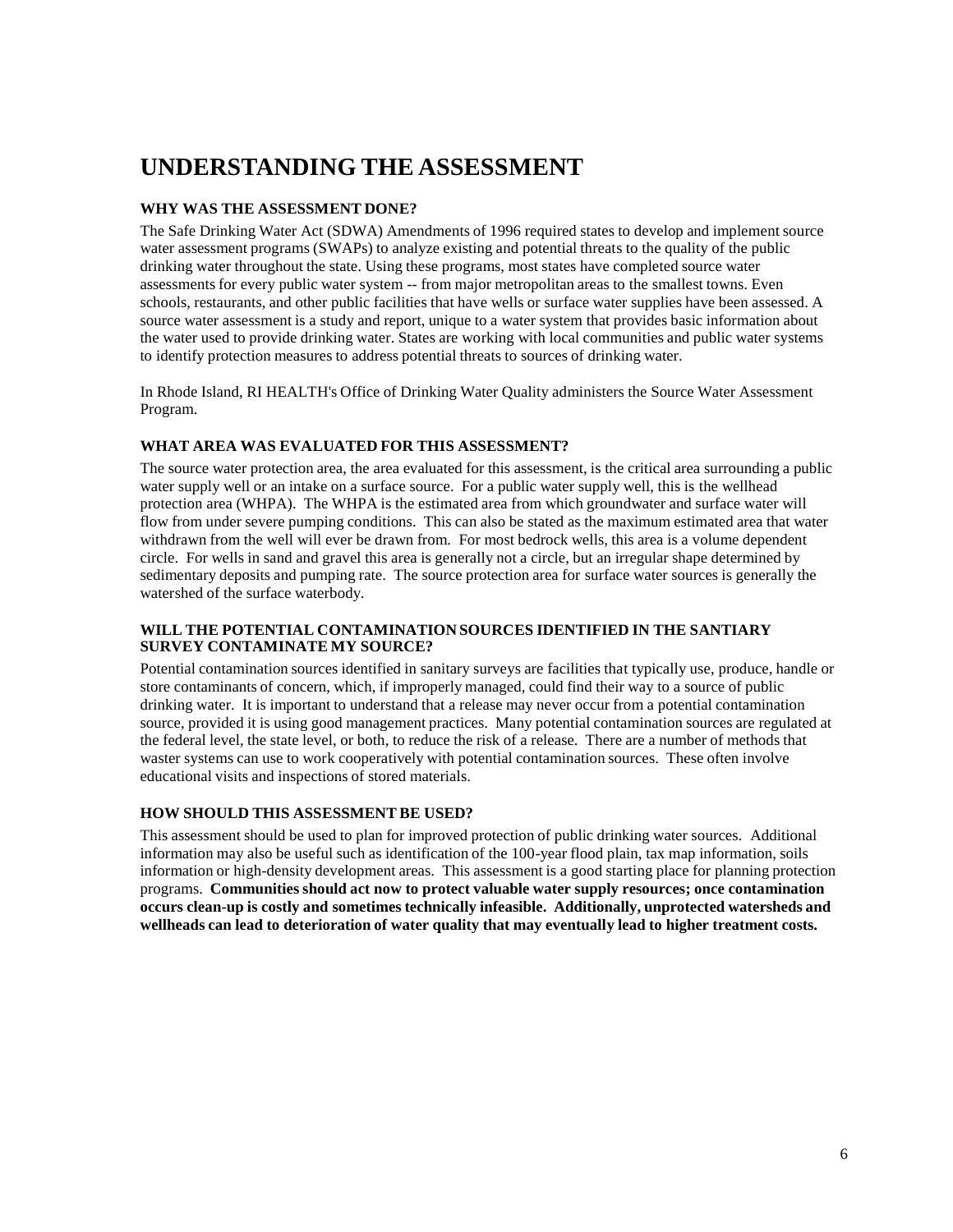# **UNDERSTANDING THE ASSESSMENT**

#### **WHY WAS THE ASSESSMENT DONE?**

The Safe Drinking Water Act (SDWA) Amendments of 1996 required states to develop and implement source water assessment programs (SWAPs) to analyze existing and potential threats to the quality of the public drinking water throughout the state. Using these programs, most states have completed source water assessments for every public water system -- from major metropolitan areas to the smallest towns. Even schools, restaurants, and other public facilities that have wells or surface water supplies have been assessed. A source water assessment is a study and report, unique to a water system that provides basic information about the water used to provide drinking water. States are working with local communities and public water systems to identify protection measures to address potential threats to sources of drinking water.

In Rhode Island, RI HEALTH's Office of Drinking Water Quality administers the Source Water Assessment Program.

#### **WHAT AREA WAS EVALUATED FOR THIS ASSESSMENT?**

The source water protection area, the area evaluated for this assessment, is the critical area surrounding a public water supply well or an intake on a surface source. For a public water supply well, this is the wellhead protection area (WHPA). The WHPA is the estimated area from which groundwater and surface water will flow from under severe pumping conditions. This can also be stated as the maximum estimated area that water withdrawn from the well will ever be drawn from. For most bedrock wells, this area is a volume dependent circle. For wells in sand and gravel this area is generally not a circle, but an irregular shape determined by sedimentary deposits and pumping rate. The source protection area for surface water sources is generally the watershed of the surface waterbody.

#### **WILL THE POTENTIAL CONTAMINATION SOURCES IDENTIFIED IN THE SANTIARY SURVEY CONTAMINATE MY SOURCE?**

Potential contamination sources identified in sanitary surveys are facilities that typically use, produce, handle or store contaminants of concern, which, if improperly managed, could find their way to a source of public drinking water. It is important to understand that a release may never occur from a potential contamination source, provided it is using good management practices. Many potential contamination sources are regulated at the federal level, the state level, or both, to reduce the risk of a release. There are a number of methods that waster systems can use to work cooperatively with potential contamination sources. These often involve educational visits and inspections of stored materials.

#### **HOW SHOULD THIS ASSESSMENT BE USED?**

This assessment should be used to plan for improved protection of public drinking water sources. Additional information may also be useful such as identification of the 100-year flood plain, tax map information, soils information or high-density development areas. This assessment is a good starting place for planning protection programs. **Communities should act now to protect valuable water supply resources; once contamination occurs clean-up is costly and sometimes technically infeasible. Additionally, unprotected watersheds and wellheads can lead to deterioration of water quality that may eventually lead to higher treatment costs.**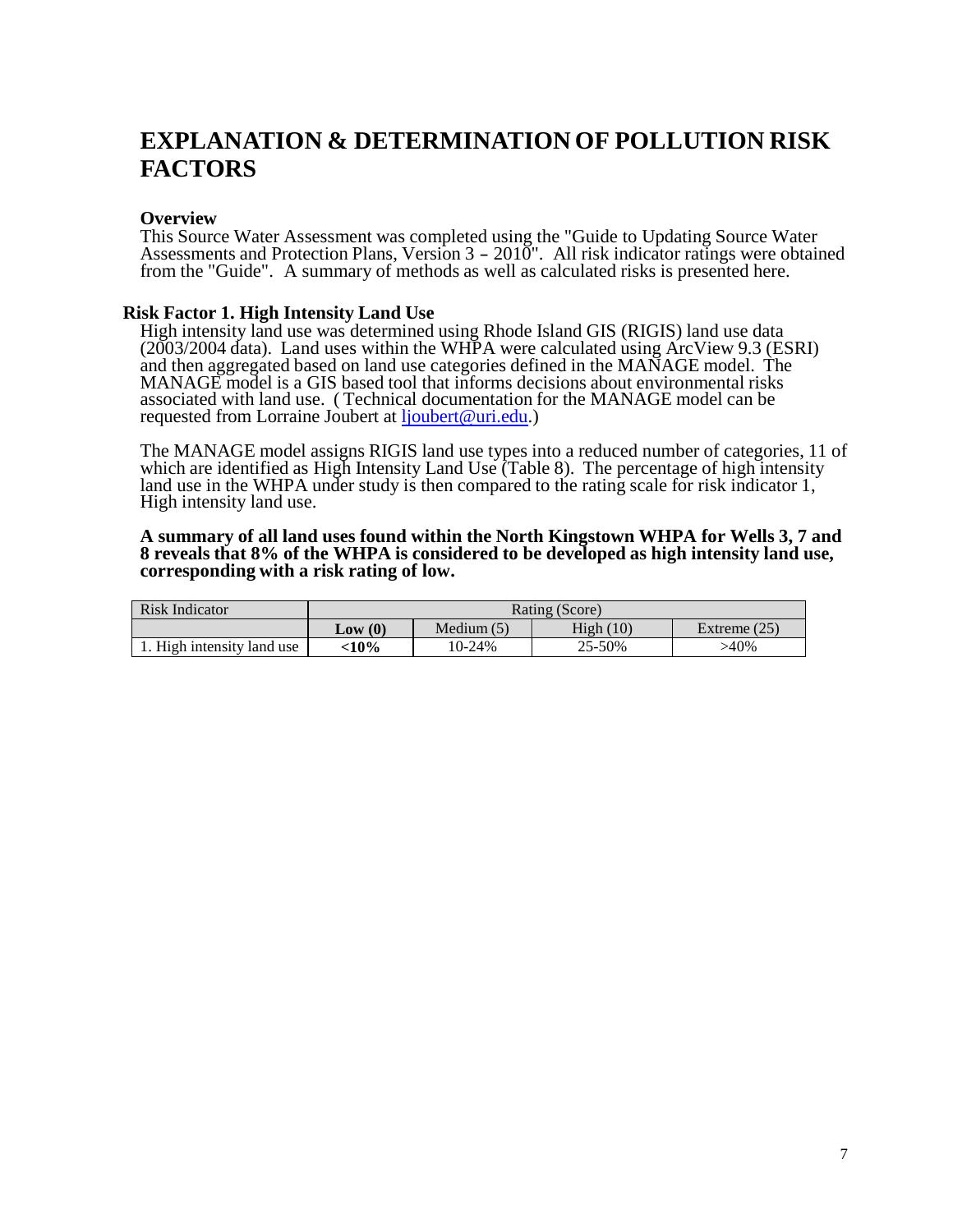# **EXPLANATION & DETERMINATION OF POLLUTION RISK FACTORS**

#### **Overview**

This Source Water Assessment was completed using the "Guide to Updating Source Water Assessments and Protection Plans, Version <sup>3</sup> - 2010". All risk indicator ratings were obtained from the "Guide". A summary of methods as well as calculated risks is presented here.

#### **Risk Factor 1. High Intensity Land Use**

High intensity land use was determined using Rhode Island GIS (RIGIS) land use data (2003/2004 data). Land uses within the WHPA were calculated using ArcView 9.3 (ESRI) and then aggregated based on land use categories defined in the MANAGE model. The MANAGE model is a GIS based tool that informs decisions about environmental risks associated with land use. ( Technical documentation for the MANAGE model can be requested from Lorraine Joubert at [ljoubert@uri.edu.](mailto:ljoubert@uri.edu))

The MANAGE model assigns RIGIS land use types into a reduced number of categories, 11 of which are identified as High Intensity Land Use (Table 8). The percentage of high intensity land use in the WHPA under study is then compared to the rating scale for risk indicator 1, High intensity land use.

#### **A summary of all land uses found within the North Kingstown WHPA for Wells 3, 7 and 8 reveals that 8% of the WHPA is considered to be developed as high intensity land use, corresponding with a risk rating of low.**

| Risk Indicator             | Rating (Score) |              |          |                |  |  |
|----------------------------|----------------|--------------|----------|----------------|--|--|
|                            | Low(0)         | Medium $(5)$ | High(10) | Extreme $(25)$ |  |  |
| 1. High intensity land use | $-10\%$        | 10-24%       | 25-50%   | $>40\%$        |  |  |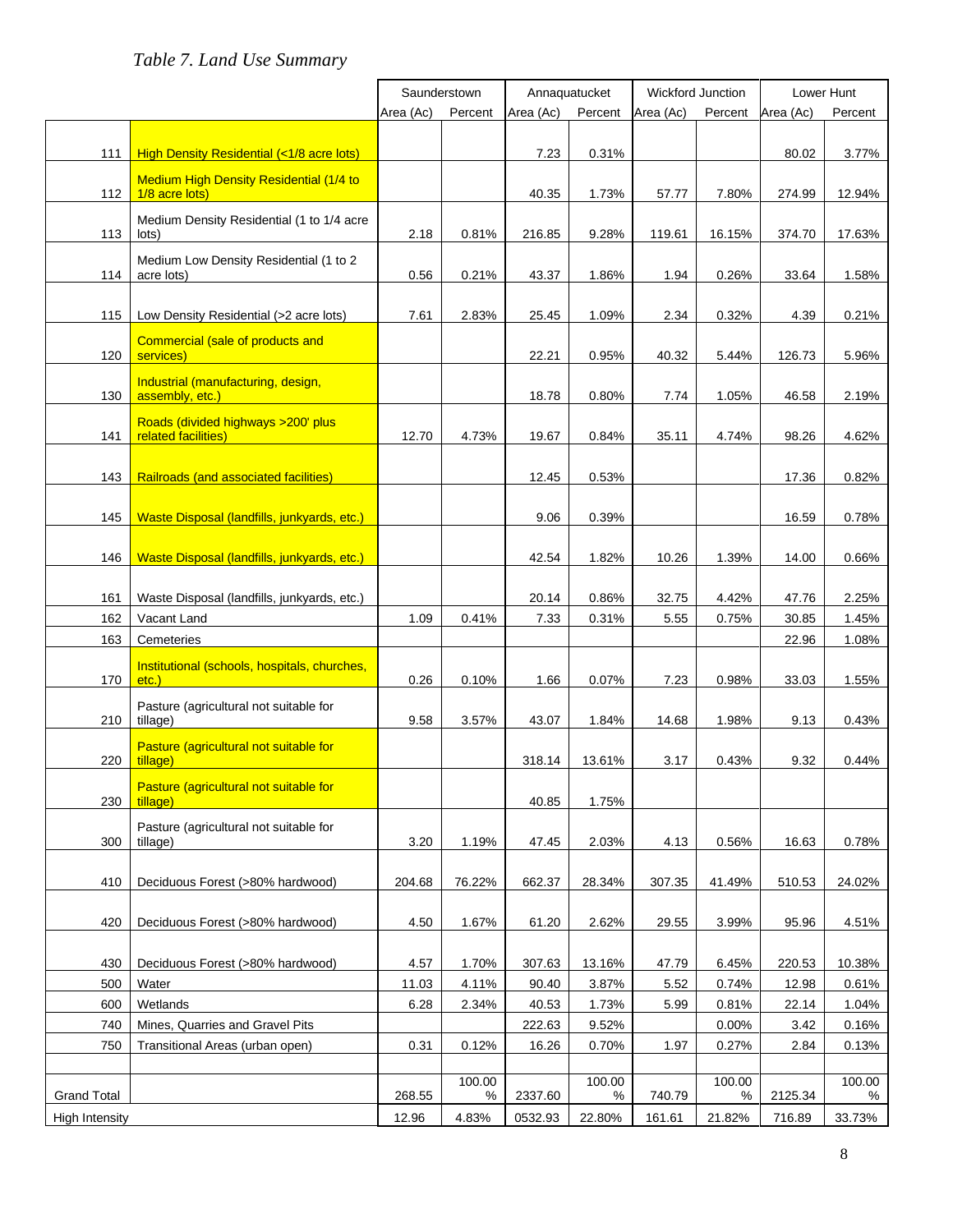# *Table 7. Land Use Summary*

|                       |                                                       | Saunderstown |         | Annaquatucket |         | Wickford Junction |         | Lower Hunt |         |
|-----------------------|-------------------------------------------------------|--------------|---------|---------------|---------|-------------------|---------|------------|---------|
|                       |                                                       | Area (Ac)    | Percent | Area (Ac)     | Percent | Area (Ac)         | Percent | Area (Ac)  | Percent |
|                       |                                                       |              |         |               |         |                   |         |            |         |
| 111                   | High Density Residential (<1/8 acre lots)             |              |         | 7.23          | 0.31%   |                   |         | 80.02      | 3.77%   |
|                       | <b>Medium High Density Residential (1/4 to</b>        |              |         |               |         |                   |         |            |         |
| 112                   | 1/8 acre lots)                                        |              |         | 40.35         | 1.73%   | 57.77             | 7.80%   | 274.99     | 12.94%  |
|                       | Medium Density Residential (1 to 1/4 acre             |              |         |               |         |                   |         |            |         |
| 113                   | lots)                                                 | 2.18         | 0.81%   | 216.85        | 9.28%   | 119.61            | 16.15%  | 374.70     | 17.63%  |
|                       | Medium Low Density Residential (1 to 2                |              |         |               |         |                   |         |            |         |
| 114                   | acre lots)                                            | 0.56         | 0.21%   | 43.37         | 1.86%   | 1.94              | 0.26%   | 33.64      | 1.58%   |
| 115                   | Low Density Residential (>2 acre lots)                | 7.61         | 2.83%   | 25.45         | 1.09%   | 2.34              | 0.32%   | 4.39       | 0.21%   |
|                       |                                                       |              |         |               |         |                   |         |            |         |
| 120                   | Commercial (sale of products and<br>services)         |              |         | 22.21         | 0.95%   | 40.32             | 5.44%   | 126.73     | 5.96%   |
|                       |                                                       |              |         |               |         |                   |         |            |         |
| 130                   | Industrial (manufacturing, design,<br>assembly, etc.) |              |         | 18.78         | 0.80%   | 7.74              | 1.05%   | 46.58      | 2.19%   |
|                       | Roads (divided highways > 200' plus                   |              |         |               |         |                   |         |            |         |
| 141                   | related facilities)                                   | 12.70        | 4.73%   | 19.67         | 0.84%   | 35.11             | 4.74%   | 98.26      | 4.62%   |
|                       |                                                       |              |         |               |         |                   |         |            |         |
| 143                   | <b>Railroads (and associated facilities)</b>          |              |         | 12.45         | 0.53%   |                   |         | 17.36      | 0.82%   |
|                       |                                                       |              |         |               |         |                   |         |            |         |
| 145                   | Waste Disposal (landfills, junkyards, etc.)           |              |         | 9.06          | 0.39%   |                   |         | 16.59      | 0.78%   |
|                       |                                                       |              |         |               |         |                   |         |            |         |
| 146                   | Waste Disposal (landfills, junkyards, etc.)           |              |         | 42.54         | 1.82%   | 10.26             | 1.39%   | 14.00      | 0.66%   |
|                       |                                                       |              |         |               |         |                   |         |            |         |
| 161                   | Waste Disposal (landfills, junkyards, etc.)           |              |         | 20.14         | 0.86%   | 32.75             | 4.42%   | 47.76      | 2.25%   |
| 162                   | Vacant Land                                           | 1.09         | 0.41%   | 7.33          | 0.31%   | 5.55              | 0.75%   | 30.85      | 1.45%   |
| 163                   | Cemeteries                                            |              |         |               |         |                   |         | 22.96      | 1.08%   |
|                       | Institutional (schools, hospitals, churches,          |              |         |               |         |                   |         |            |         |
| 170                   | $etc.$ )                                              | 0.26         | 0.10%   | 1.66          | 0.07%   | 7.23              | 0.98%   | 33.03      | 1.55%   |
|                       | Pasture (agricultural not suitable for                |              |         |               |         |                   |         |            |         |
| 210                   | tillage)                                              | 9.58         | 3.57%   | 43.07         | 1.84%   | 14.68             | 1.98%   | 9.13       | 0.43%   |
| 220                   | Pasture (agricultural not suitable for<br>tillage)    |              |         | 318.14        | 13.61%  | 3.17              | 0.43%   | 9.32       | 0.44%   |
|                       |                                                       |              |         |               |         |                   |         |            |         |
| 230                   | Pasture (agricultural not suitable for<br>tillage)    |              |         | 40.85         | 1.75%   |                   |         |            |         |
|                       |                                                       |              |         |               |         |                   |         |            |         |
| 300                   | Pasture (agricultural not suitable for<br>tillage)    | 3.20         | 1.19%   | 47.45         | 2.03%   | 4.13              | 0.56%   | 16.63      | 0.78%   |
|                       |                                                       |              |         |               |         |                   |         |            |         |
| 410                   | Deciduous Forest (>80% hardwood)                      | 204.68       | 76.22%  | 662.37        | 28.34%  | 307.35            | 41.49%  | 510.53     | 24.02%  |
|                       |                                                       |              |         |               |         |                   |         |            |         |
| 420                   | Deciduous Forest (>80% hardwood)                      | 4.50         | 1.67%   | 61.20         | 2.62%   | 29.55             | 3.99%   | 95.96      | 4.51%   |
|                       |                                                       |              |         |               |         |                   |         |            |         |
| 430                   | Deciduous Forest (>80% hardwood)                      | 4.57         | 1.70%   | 307.63        | 13.16%  | 47.79             | 6.45%   | 220.53     | 10.38%  |
| 500                   | Water                                                 | 11.03        | 4.11%   | 90.40         | 3.87%   | 5.52              | 0.74%   | 12.98      | 0.61%   |
| 600                   | Wetlands                                              | 6.28         | 2.34%   | 40.53         | 1.73%   | 5.99              | 0.81%   | 22.14      | 1.04%   |
| 740                   | Mines, Quarries and Gravel Pits                       |              |         | 222.63        | 9.52%   |                   | 0.00%   | 3.42       | 0.16%   |
| 750                   | Transitional Areas (urban open)                       | 0.31         | 0.12%   | 16.26         | 0.70%   | 1.97              | 0.27%   | 2.84       | 0.13%   |
|                       |                                                       |              | 100.00  |               | 100.00  |                   | 100.00  |            | 100.00  |
| <b>Grand Total</b>    |                                                       | 268.55       | %       | 2337.60       | $\%$    | 740.79            | $\%$    | 2125.34    | %       |
| <b>High Intensity</b> |                                                       | 12.96        | 4.83%   | 0532.93       | 22.80%  | 161.61            | 21.82%  | 716.89     | 33.73%  |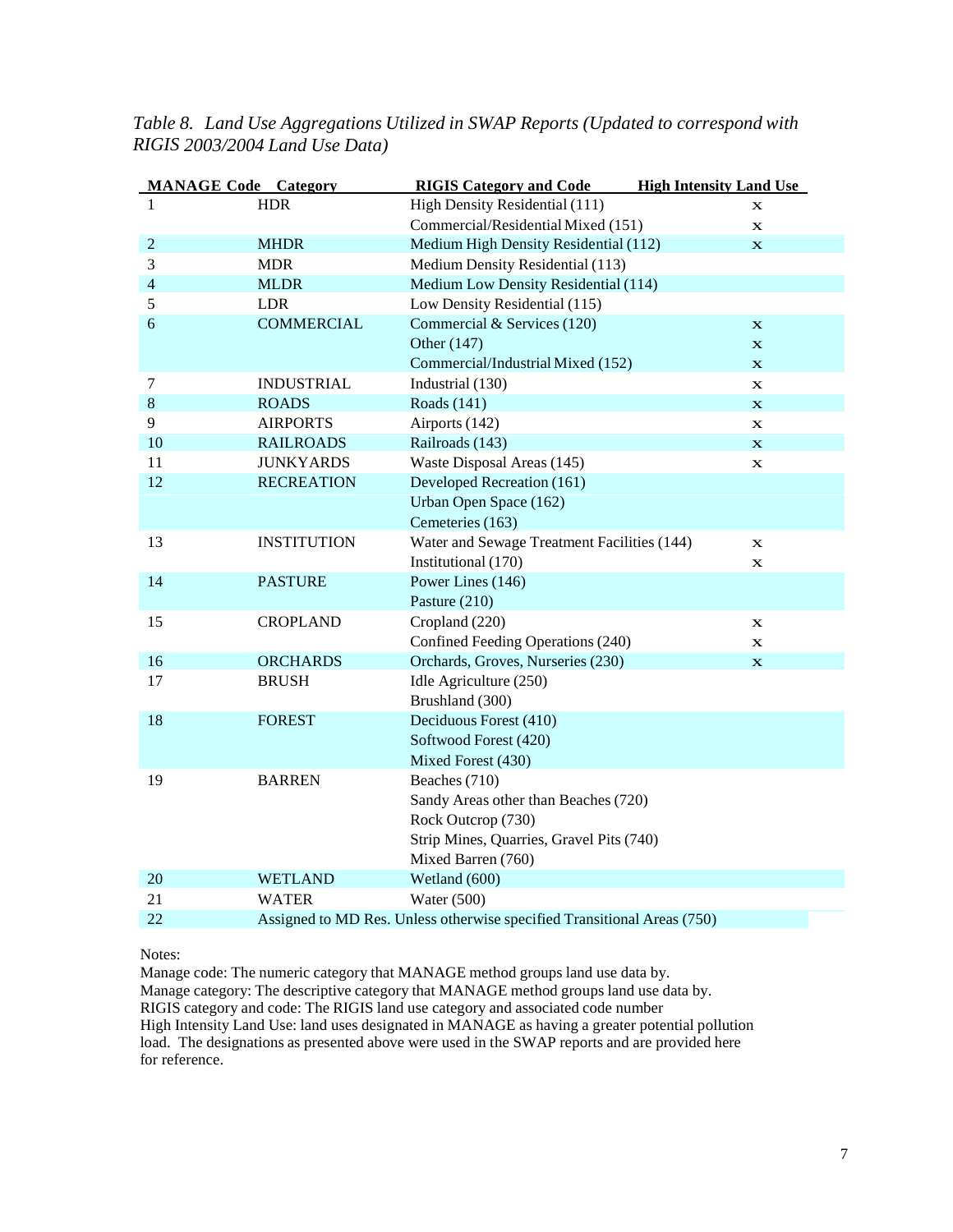| <b>MANAGE Code Category</b> |                    | <b>RIGIS Category and Code</b>                                          | <b>High Intensity Land Use</b> |
|-----------------------------|--------------------|-------------------------------------------------------------------------|--------------------------------|
| 1                           | <b>HDR</b>         | High Density Residential (111)                                          | $\mathbf x$                    |
|                             |                    | Commercial/Residential Mixed (151)                                      | $\mathbf x$                    |
| $\overline{2}$              | <b>MHDR</b>        | Medium High Density Residential (112)                                   | $\mathbf X$                    |
| 3                           | <b>MDR</b>         | Medium Density Residential (113)                                        |                                |
| $\overline{4}$              | <b>MLDR</b>        | Medium Low Density Residential (114)                                    |                                |
| 5                           | <b>LDR</b>         | Low Density Residential (115)                                           |                                |
| 6                           | <b>COMMERCIAL</b>  | Commercial & Services (120)                                             | $\mathbf x$                    |
|                             |                    | Other (147)                                                             | $\mathbf x$                    |
|                             |                    | Commercial/Industrial Mixed (152)                                       | $\mathbf x$                    |
| $\tau$                      | <b>INDUSTRIAL</b>  | Industrial (130)                                                        | $\mathbf x$                    |
| $\,8\,$                     | <b>ROADS</b>       | Roads (141)                                                             | $\mathbf x$                    |
| 9                           | <b>AIRPORTS</b>    | Airports (142)                                                          | $\mathbf X$                    |
| 10                          | <b>RAILROADS</b>   | Railroads (143)                                                         | $\mathbf x$                    |
| 11                          | <b>JUNKYARDS</b>   | Waste Disposal Areas (145)                                              | $\mathbf x$                    |
| 12                          | <b>RECREATION</b>  | Developed Recreation (161)                                              |                                |
|                             |                    | Urban Open Space (162)                                                  |                                |
|                             |                    | Cemeteries (163)                                                        |                                |
| 13                          | <b>INSTITUTION</b> | Water and Sewage Treatment Facilities (144)                             | $\mathbf x$                    |
|                             |                    | Institutional (170)                                                     | $\mathbf x$                    |
| 14                          | <b>PASTURE</b>     | Power Lines (146)                                                       |                                |
|                             |                    | Pasture (210)                                                           |                                |
| 15                          | <b>CROPLAND</b>    | Cropland (220)                                                          | $\mathbf X$                    |
|                             |                    | Confined Feeding Operations (240)                                       | $\mathbf X$                    |
| 16                          | <b>ORCHARDS</b>    | Orchards, Groves, Nurseries (230)                                       | $\mathbf X$                    |
| 17                          | <b>BRUSH</b>       | Idle Agriculture (250)                                                  |                                |
|                             |                    | Brushland (300)                                                         |                                |
| 18                          | <b>FOREST</b>      | Deciduous Forest (410)                                                  |                                |
|                             |                    | Softwood Forest (420)                                                   |                                |
|                             |                    | Mixed Forest (430)                                                      |                                |
| 19                          | <b>BARREN</b>      | Beaches (710)                                                           |                                |
|                             |                    | Sandy Areas other than Beaches (720)                                    |                                |
|                             |                    | Rock Outcrop (730)                                                      |                                |
|                             |                    | Strip Mines, Quarries, Gravel Pits (740)                                |                                |
|                             |                    | Mixed Barren (760)                                                      |                                |
| 20                          | <b>WETLAND</b>     | Wetland (600)                                                           |                                |
| 21                          | <b>WATER</b>       | Water $(500)$                                                           |                                |
| 22                          |                    | Assigned to MD Res. Unless otherwise specified Transitional Areas (750) |                                |

*Table 8. Land Use Aggregations Utilized in SWAP Reports (Updated to correspond with RIGIS 2003/2004 Land Use Data)*

#### Notes:

Manage code: The numeric category that MANAGE method groups land use data by. Manage category: The descriptive category that MANAGE method groups land use data by. RIGIS category and code: The RIGIS land use category and associated code number High Intensity Land Use: land uses designated in MANAGE as having a greater potential pollution load. The designations as presented above were used in the SWAP reports and are provided here for reference.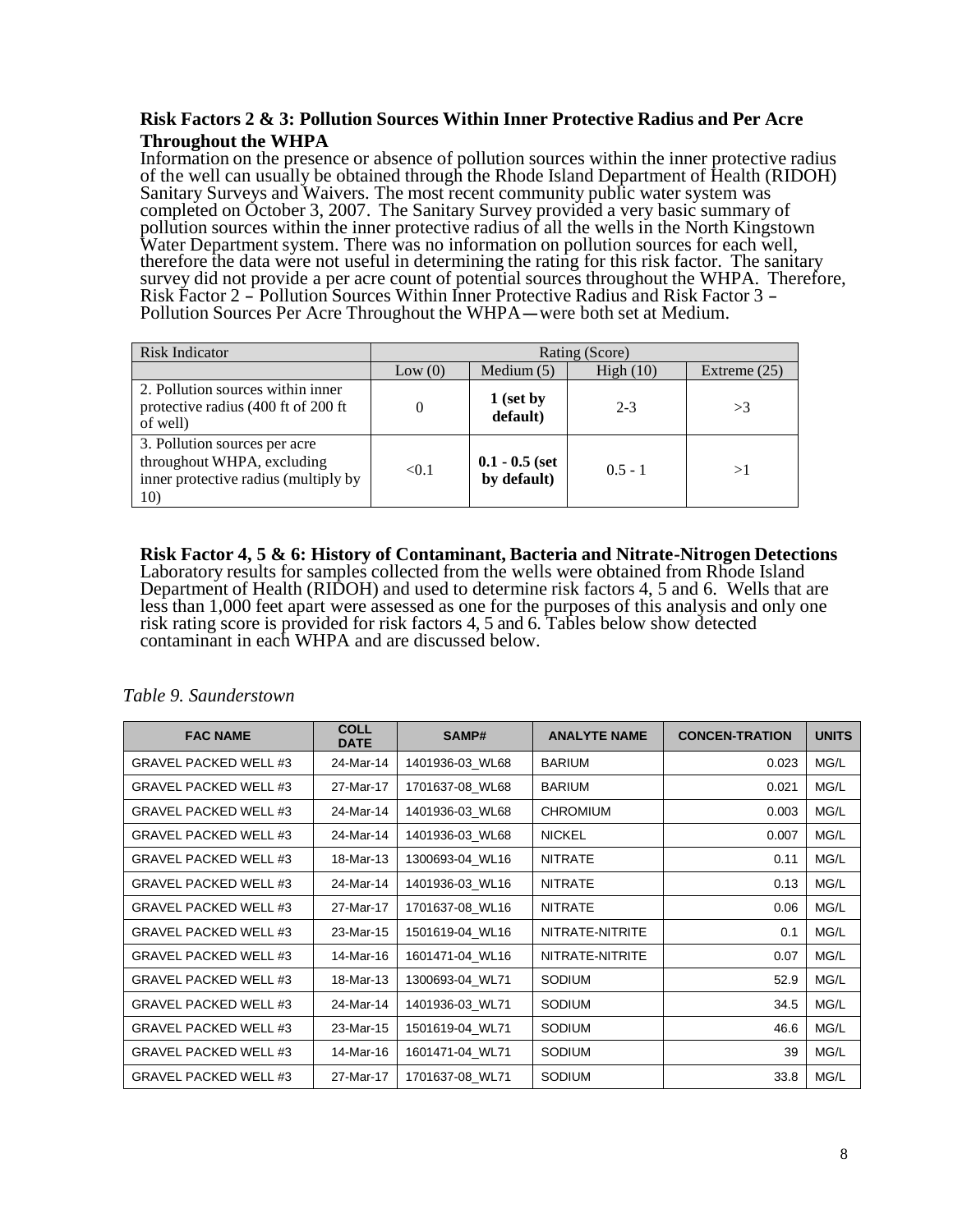#### **Risk Factors 2 & 3: Pollution Sources Within Inner Protective Radius and Per Acre Throughout the WHPA**

Information on the presence or absence of pollution sources within the inner protective radius of the well can usually be obtained through the Rhode Island Department of Health (RIDOH) Sanitary Surveys and Waivers. The most recent community public water system was completed on October 3, 2007. The Sanitary Survey provided a very basic summary of pollution sources within the inner protective radius of all the wells in the North Kingstown Water Department system. There was no information on pollution sources for each well, therefore the data were not useful in determining the rating for this risk factor. The sanitary survey did not provide a per acre count of potential sources throughout the WHPA. Therefore,<br>Risk Factor 2 – Pollution Sources Within Inner Protective Radius and Risk Factor 3 –<br>Pollution Sources Per Acre Throughout the WH

| <b>Risk Indicator</b>                                                                                      |        |                                 | Rating (Score) |                |
|------------------------------------------------------------------------------------------------------------|--------|---------------------------------|----------------|----------------|
|                                                                                                            | Low(0) | Medium $(5)$                    | High $(10)$    | Extreme $(25)$ |
| 2. Pollution sources within inner<br>protective radius (400 ft of 200 ft<br>of well)                       | 0      | 1 (set by<br>default)           | $2 - 3$        | >3             |
| 3. Pollution sources per acre<br>throughout WHPA, excluding<br>inner protective radius (multiply by<br>10) | < 0.1  | $0.1 - 0.5$ (set<br>by default) | $0.5 - 1$      | >1             |

**Risk Factor 4, 5 & 6: History of Contaminant, Bacteria and Nitrate-Nitrogen Detections** Laboratory results for samples collected from the wells were obtained from Rhode Island Department of Health (RIDOH) and used to determine risk factors 4, 5 and 6. Wells that are less than 1,000 feet apart were assessed as one for the purposes of this analysis and only one risk rating score is provided for risk factors 4, 5 and 6. Tables below show detected contaminant in each WHPA and are discussed below.

| <b>FAC NAME</b>              | <b>COLL</b><br><b>DATE</b> | SAMP#           | <b>ANALYTE NAME</b> | <b>CONCEN-TRATION</b> | <b>UNITS</b> |
|------------------------------|----------------------------|-----------------|---------------------|-----------------------|--------------|
| <b>GRAVEL PACKED WELL #3</b> | 24-Mar-14                  | 1401936-03_WL68 | <b>BARIUM</b>       | 0.023                 | MG/L         |
| <b>GRAVEL PACKED WELL #3</b> | 27-Mar-17                  | 1701637-08 WL68 | <b>BARIUM</b>       | 0.021                 | MG/L         |
| <b>GRAVEL PACKED WELL #3</b> | 24-Mar-14                  | 1401936-03 WL68 | <b>CHROMIUM</b>     | 0.003                 | MG/L         |
| <b>GRAVEL PACKED WELL #3</b> | 24-Mar-14                  | 1401936-03 WL68 | <b>NICKEL</b>       | 0.007                 | MG/L         |
| <b>GRAVEL PACKED WELL #3</b> | 18-Mar-13                  | 1300693-04 WL16 | <b>NITRATE</b>      | 0.11                  | MG/L         |
| <b>GRAVEL PACKED WELL #3</b> | 24-Mar-14                  | 1401936-03 WL16 | <b>NITRATE</b>      | 0.13                  | MG/L         |
| <b>GRAVEL PACKED WELL #3</b> | 27-Mar-17                  | 1701637-08 WL16 | <b>NITRATE</b>      | 0.06                  | MG/L         |
| <b>GRAVEL PACKED WELL #3</b> | 23-Mar-15                  | 1501619-04 WL16 | NITRATE-NITRITE     | 0.1                   | MG/L         |
| <b>GRAVEL PACKED WELL #3</b> | 14-Mar-16                  | 1601471-04 WL16 | NITRATE-NITRITE     | 0.07                  | MG/L         |
| <b>GRAVEL PACKED WELL #3</b> | 18-Mar-13                  | 1300693-04 WL71 | <b>SODIUM</b>       | 52.9                  | MG/L         |
| <b>GRAVEL PACKED WELL #3</b> | 24-Mar-14                  | 1401936-03 WL71 | <b>SODIUM</b>       | 34.5                  | MG/L         |
| <b>GRAVEL PACKED WELL #3</b> | 23-Mar-15                  | 1501619-04 WL71 | SODIUM              | 46.6                  | MG/L         |
| <b>GRAVEL PACKED WELL #3</b> | 14-Mar-16                  | 1601471-04 WL71 | <b>SODIUM</b>       | 39                    | MG/L         |
| <b>GRAVEL PACKED WELL #3</b> | 27-Mar-17                  | 1701637-08_WL71 | SODIUM              | 33.8                  | MG/L         |

#### *Table 9. Saunderstown*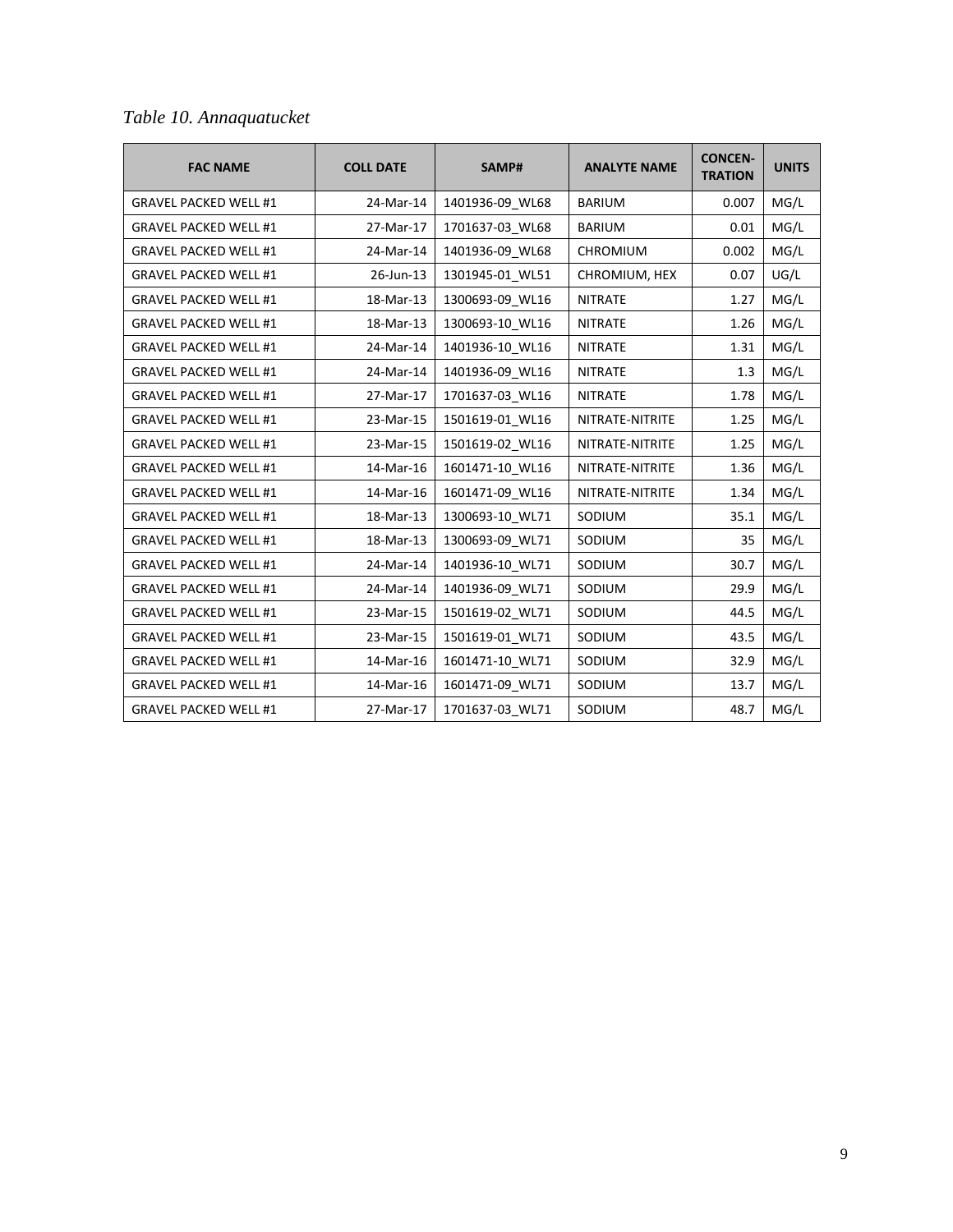|  |  | Table 10. Annaquatucket |
|--|--|-------------------------|
|--|--|-------------------------|

| <b>FAC NAME</b>              | <b>COLL DATE</b> | SAMP#           | <b>ANALYTE NAME</b> | <b>CONCEN-</b><br><b>TRATION</b> | <b>UNITS</b> |
|------------------------------|------------------|-----------------|---------------------|----------------------------------|--------------|
| <b>GRAVEL PACKED WELL #1</b> | 24-Mar-14        | 1401936-09_WL68 | <b>BARIUM</b>       | 0.007                            | MG/L         |
| <b>GRAVEL PACKED WELL #1</b> | 27-Mar-17        | 1701637-03_WL68 | <b>BARIUM</b>       | 0.01                             | MG/L         |
| <b>GRAVEL PACKED WELL #1</b> | 24-Mar-14        | 1401936-09 WL68 | CHROMIUM            | 0.002                            | MG/L         |
| <b>GRAVEL PACKED WELL #1</b> | 26-Jun-13        | 1301945-01_WL51 | CHROMIUM, HEX       | 0.07                             | UG/L         |
| <b>GRAVEL PACKED WELL #1</b> | 18-Mar-13        | 1300693-09 WL16 | <b>NITRATE</b>      | 1.27                             | MG/L         |
| <b>GRAVEL PACKED WELL #1</b> | 18-Mar-13        | 1300693-10_WL16 | <b>NITRATE</b>      | 1.26                             | MG/L         |
| <b>GRAVEL PACKED WELL #1</b> | 24-Mar-14        | 1401936-10_WL16 | <b>NITRATE</b>      | 1.31                             | MG/L         |
| <b>GRAVEL PACKED WELL #1</b> | 24-Mar-14        | 1401936-09_WL16 | <b>NITRATE</b>      | 1.3                              | MG/L         |
| <b>GRAVEL PACKED WELL #1</b> | 27-Mar-17        | 1701637-03 WL16 | <b>NITRATE</b>      | 1.78                             | MG/L         |
| <b>GRAVEL PACKED WELL #1</b> | 23-Mar-15        | 1501619-01 WL16 | NITRATE-NITRITE     | 1.25                             | MG/L         |
| <b>GRAVEL PACKED WELL #1</b> | 23-Mar-15        | 1501619-02_WL16 | NITRATE-NITRITE     | 1.25                             | MG/L         |
| <b>GRAVEL PACKED WELL #1</b> | 14-Mar-16        | 1601471-10_WL16 | NITRATE-NITRITE     | 1.36                             | MG/L         |
| <b>GRAVEL PACKED WELL #1</b> | 14-Mar-16        | 1601471-09_WL16 | NITRATE-NITRITE     | 1.34                             | MG/L         |
| <b>GRAVEL PACKED WELL #1</b> | 18-Mar-13        | 1300693-10_WL71 | SODIUM              | 35.1                             | MG/L         |
| <b>GRAVEL PACKED WELL #1</b> | 18-Mar-13        | 1300693-09 WL71 | SODIUM              | 35                               | MG/L         |
| <b>GRAVEL PACKED WELL #1</b> | 24-Mar-14        | 1401936-10_WL71 | SODIUM              | 30.7                             | MG/L         |
| <b>GRAVEL PACKED WELL #1</b> | 24-Mar-14        | 1401936-09 WL71 | SODIUM              | 29.9                             | MG/L         |
| <b>GRAVEL PACKED WELL #1</b> | 23-Mar-15        | 1501619-02_WL71 | SODIUM              | 44.5                             | MG/L         |
| <b>GRAVEL PACKED WELL #1</b> | 23-Mar-15        | 1501619-01 WL71 | SODIUM              | 43.5                             | MG/L         |
| <b>GRAVEL PACKED WELL #1</b> | 14-Mar-16        | 1601471-10_WL71 | SODIUM              | 32.9                             | MG/L         |
| <b>GRAVEL PACKED WELL #1</b> | 14-Mar-16        | 1601471-09_WL71 | SODIUM              | 13.7                             | MG/L         |
| <b>GRAVEL PACKED WELL #1</b> | 27-Mar-17        | 1701637-03_WL71 | SODIUM              | 48.7                             | MG/L         |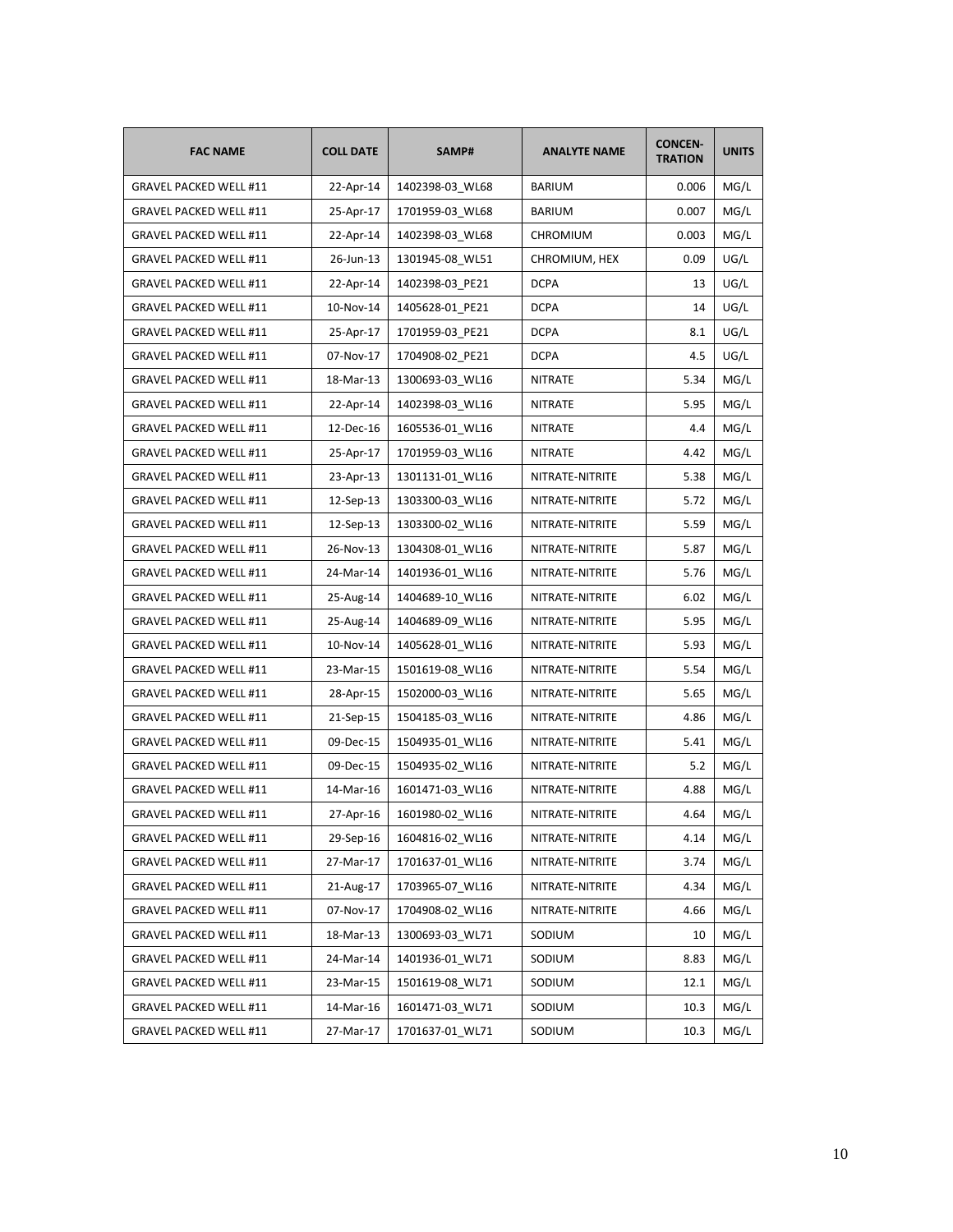| <b>FAC NAME</b>               | <b>COLL DATE</b> | SAMP#<br><b>ANALYTE NAME</b>       |                 | <b>CONCEN-</b><br><b>TRATION</b> | <b>UNITS</b> |
|-------------------------------|------------------|------------------------------------|-----------------|----------------------------------|--------------|
| <b>GRAVEL PACKED WELL #11</b> | 22-Apr-14        | 1402398-03_WL68                    | <b>BARIUM</b>   | 0.006                            | MG/L         |
| GRAVEL PACKED WELL #11        | 25-Apr-17        | 1701959-03 WL68                    | <b>BARIUM</b>   | 0.007                            | MG/L         |
| GRAVEL PACKED WELL #11        | 22-Apr-14        | 1402398-03_WL68<br><b>CHROMIUM</b> |                 | 0.003                            | MG/L         |
| GRAVEL PACKED WELL #11        | 26-Jun-13        | 1301945-08_WL51                    | CHROMIUM, HEX   | 0.09                             | UG/L         |
| GRAVEL PACKED WELL #11        | 22-Apr-14        | 1402398-03_PE21                    | DCPA            | 13                               | UG/L         |
| GRAVEL PACKED WELL #11        | 10-Nov-14        | 1405628-01_PE21                    | <b>DCPA</b>     | 14                               | UG/L         |
| <b>GRAVEL PACKED WELL #11</b> | 25-Apr-17        | 1701959-03_PE21                    | <b>DCPA</b>     | 8.1                              | UG/L         |
| GRAVEL PACKED WELL #11        | 07-Nov-17        | 1704908-02 PE21                    | <b>DCPA</b>     | 4.5                              | UG/L         |
| GRAVEL PACKED WELL #11        | 18-Mar-13        | 1300693-03_WL16                    | NITRATE         | 5.34                             | MG/L         |
| GRAVEL PACKED WELL #11        | 22-Apr-14        | 1402398-03_WL16                    | NITRATE         | 5.95                             | MG/L         |
| GRAVEL PACKED WELL #11        | 12-Dec-16        | 1605536-01_WL16                    | <b>NITRATE</b>  | 4.4                              | MG/L         |
| <b>GRAVEL PACKED WELL #11</b> | 25-Apr-17        | 1701959-03_WL16                    | <b>NITRATE</b>  | 4.42                             | MG/L         |
| <b>GRAVEL PACKED WELL #11</b> | 23-Apr-13        | 1301131-01_WL16                    | NITRATE-NITRITE | 5.38                             | MG/L         |
| GRAVEL PACKED WELL #11        | 12-Sep-13        | 1303300-03_WL16                    | NITRATE-NITRITE | 5.72                             | MG/L         |
| GRAVEL PACKED WELL #11        | 12-Sep-13        | 1303300-02_WL16                    | NITRATE-NITRITE | 5.59                             | MG/L         |
| GRAVEL PACKED WELL #11        | 26-Nov-13        | 1304308-01_WL16                    | NITRATE-NITRITE | 5.87                             | MG/L         |
| GRAVEL PACKED WELL #11        | 24-Mar-14        | 1401936-01_WL16                    | NITRATE-NITRITE | 5.76                             | MG/L         |
| <b>GRAVEL PACKED WELL #11</b> | 25-Aug-14        | 1404689-10_WL16                    | NITRATE-NITRITE | 6.02                             | MG/L         |
| <b>GRAVEL PACKED WELL #11</b> | 25-Aug-14        | 1404689-09 WL16                    | NITRATE-NITRITE | 5.95                             | MG/L         |
| GRAVEL PACKED WELL #11        | 10-Nov-14        | 1405628-01_WL16                    | NITRATE-NITRITE | 5.93                             | MG/L         |
| <b>GRAVEL PACKED WELL #11</b> | 23-Mar-15        | 1501619-08_WL16                    | NITRATE-NITRITE | 5.54                             | MG/L         |
| GRAVEL PACKED WELL #11        | 28-Apr-15        | 1502000-03_WL16                    | NITRATE-NITRITE | 5.65                             | MG/L         |
| GRAVEL PACKED WELL #11        | 21-Sep-15        | 1504185-03_WL16                    | NITRATE-NITRITE |                                  | MG/L         |
| <b>GRAVEL PACKED WELL #11</b> | 09-Dec-15        | 1504935-01_WL16                    | NITRATE-NITRITE | 5.41                             | MG/L         |
| <b>GRAVEL PACKED WELL #11</b> | 09-Dec-15        | 1504935-02_WL16                    | NITRATE-NITRITE | 5.2                              | MG/L         |
| GRAVEL PACKED WELL #11        | 14-Mar-16        | 1601471-03 WL16                    | NITRATE-NITRITE | 4.88                             | MG/L         |
| GRAVEL PACKED WELL #11        | 27-Apr-16        | 1601980-02_WL16                    | NITRATE-NITRITE | 4.64                             | MG/L         |
| <b>GRAVEL PACKED WELL #11</b> | 29-Sep-16        | 1604816-02 WL16                    | NITRATE-NITRITE | 4.14                             | MG/L         |
| GRAVEL PACKED WELL #11        | 27-Mar-17        | 1701637-01_WL16                    | NITRATE-NITRITE | 3.74                             | MG/L         |
| GRAVEL PACKED WELL #11        | 21-Aug-17        | 1703965-07_WL16                    | NITRATE-NITRITE | 4.34                             | MG/L         |
| GRAVEL PACKED WELL #11        | 07-Nov-17        | 1704908-02 WL16                    | NITRATE-NITRITE | 4.66                             | MG/L         |
| GRAVEL PACKED WELL #11        | 18-Mar-13        | 1300693-03_WL71                    | SODIUM          | 10                               | MG/L         |
| GRAVEL PACKED WELL #11        | 24-Mar-14        | 1401936-01_WL71                    | SODIUM          | 8.83                             | MG/L         |
| GRAVEL PACKED WELL #11        | 23-Mar-15        | 1501619-08_WL71                    | SODIUM          | 12.1                             | MG/L         |
| GRAVEL PACKED WELL #11        | 14-Mar-16        | 1601471-03 WL71                    | SODIUM          | 10.3                             | MG/L         |
| GRAVEL PACKED WELL #11        | 27-Mar-17        | 1701637-01_WL71                    | SODIUM          | 10.3                             | MG/L         |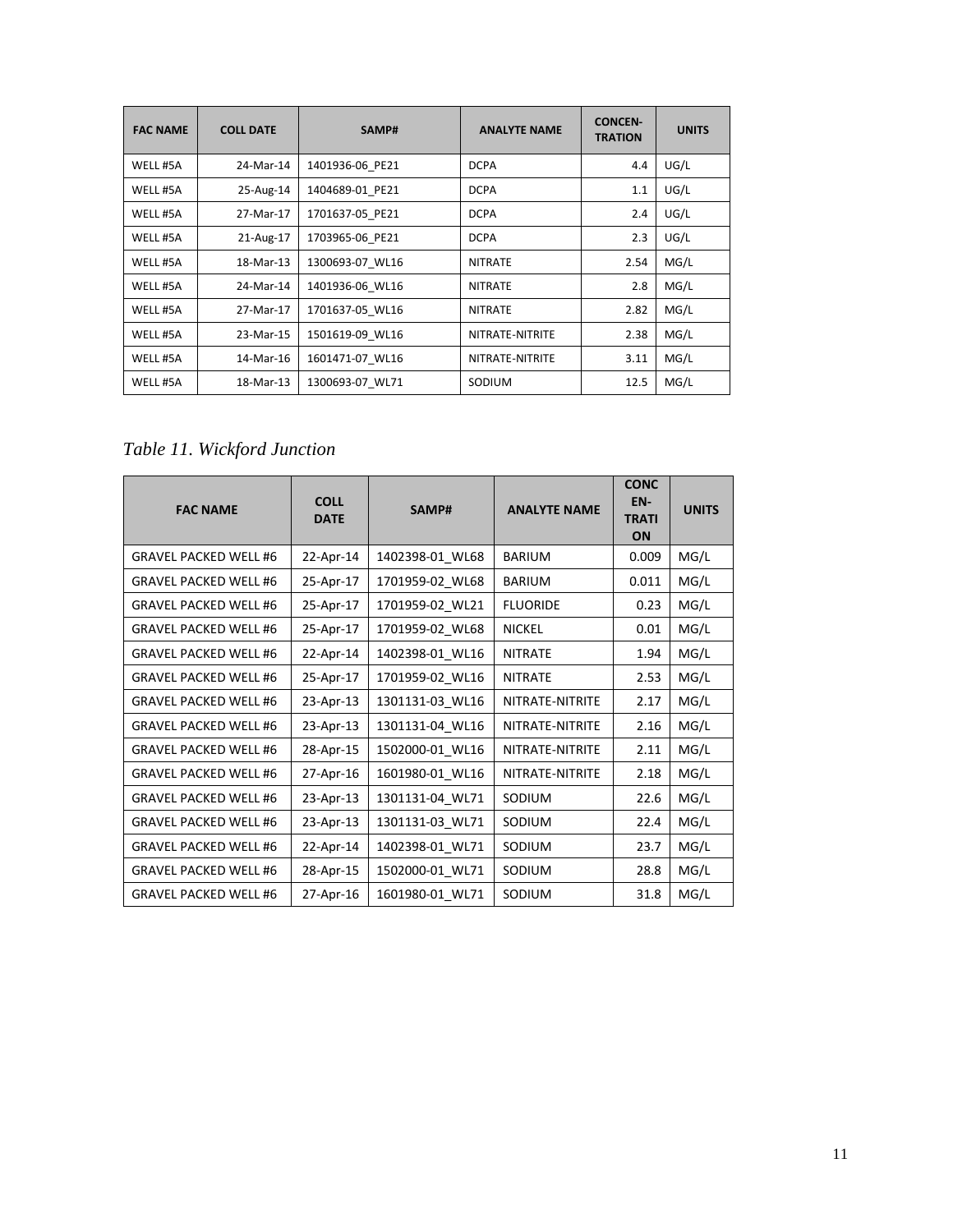| <b>FAC NAME</b> | <b>COLL DATE</b> | SAMP#           | <b>ANALYTE NAME</b> | <b>CONCEN-</b><br><b>TRATION</b> | <b>UNITS</b> |
|-----------------|------------------|-----------------|---------------------|----------------------------------|--------------|
| WELL #5A        | 24-Mar-14        | 1401936-06 PE21 | <b>DCPA</b>         | 4.4                              | UG/L         |
| WELL #5A        | 25-Aug-14        | 1404689-01 PE21 | <b>DCPA</b>         | 1.1                              | UG/L         |
| WELL #5A        | 27-Mar-17        | 1701637-05 PE21 | <b>DCPA</b>         | 2.4                              | UG/L         |
| WELL #5A        | 21-Aug-17        | 1703965-06 PE21 | <b>DCPA</b>         | 2.3                              | UG/L         |
| WELL #5A        | 18-Mar-13        | 1300693-07 WL16 | <b>NITRATE</b>      | 2.54                             | MG/L         |
| WELL #5A        | 24-Mar-14        | 1401936-06 WL16 | <b>NITRATE</b>      | 2.8                              | MG/L         |
| WELL #5A        | 27-Mar-17        | 1701637-05 WL16 | <b>NITRATE</b>      | 2.82                             | MG/L         |
| WELL #5A        | 23-Mar-15        | 1501619-09_WL16 | NITRATE-NITRITE     | 2.38                             | MG/L         |
| WELL #5A        | 14-Mar-16        | 1601471-07 WL16 | NITRATE-NITRITE     | 3.11                             | MG/L         |
| WELL #5A        | 18-Mar-13        | 1300693-07 WL71 | SODIUM              | 12.5                             | MG/L         |

*Table 11. Wickford Junction*

| <b>FAC NAME</b>              | <b>COLL</b><br><b>DATE</b> | <b>ANALYTE NAME</b><br>SAMP# |                 | <b>CONC</b><br>EN-<br><b>TRATI</b><br>ON | <b>UNITS</b> |
|------------------------------|----------------------------|------------------------------|-----------------|------------------------------------------|--------------|
| <b>GRAVEL PACKED WELL #6</b> | 22-Apr-14                  | 1402398-01 WL68              | <b>BARIUM</b>   | 0.009                                    | MG/L         |
| <b>GRAVEL PACKED WELL #6</b> | 25-Apr-17                  | 1701959-02 WL68              | <b>BARIUM</b>   | 0.011                                    | MG/L         |
| <b>GRAVEL PACKED WELL #6</b> | 25-Apr-17                  | 1701959-02_WL21              | <b>FLUORIDE</b> | 0.23                                     | MG/L         |
| <b>GRAVEL PACKED WELL #6</b> | 25-Apr-17                  | 1701959-02_WL68              | <b>NICKEL</b>   | 0.01                                     | MG/L         |
| <b>GRAVEL PACKED WELL #6</b> | 22-Apr-14                  | 1402398-01_WL16              | <b>NITRATE</b>  | 1.94                                     | MG/L         |
| <b>GRAVEL PACKED WELL #6</b> | 25-Apr-17                  | 1701959-02 WL16              | <b>NITRATE</b>  | 2.53                                     | MG/L         |
| <b>GRAVEL PACKED WELL #6</b> | 23-Apr-13                  | 1301131-03 WL16              | NITRATE-NITRITE | 2.17                                     | MG/L         |
| <b>GRAVEL PACKED WELL #6</b> | 23-Apr-13                  | 1301131-04 WL16              | NITRATE-NITRITE | 2.16                                     | MG/L         |
| <b>GRAVEL PACKED WELL #6</b> | 28-Apr-15                  | 1502000-01 WL16              | NITRATE-NITRITE | 2.11                                     | MG/L         |
| <b>GRAVEL PACKED WELL #6</b> | 27-Apr-16                  | 1601980-01 WL16              | NITRATE-NITRITE | 2.18                                     | MG/L         |
| <b>GRAVEL PACKED WELL #6</b> | 23-Apr-13                  | 1301131-04_WL71              | SODIUM          | 22.6                                     | MG/L         |
| <b>GRAVEL PACKED WELL #6</b> | 23-Apr-13                  | 1301131-03_WL71              | SODIUM          | 22.4                                     | MG/L         |
| <b>GRAVEL PACKED WELL #6</b> | 22-Apr-14                  | 1402398-01_WL71              | SODIUM          | 23.7                                     | MG/L         |
| <b>GRAVEL PACKED WELL #6</b> | 28-Apr-15                  | 1502000-01_WL71              | SODIUM          | 28.8                                     | MG/L         |
| <b>GRAVEL PACKED WELL #6</b> | 27-Apr-16                  | 1601980-01_WL71              | SODIUM          | 31.8                                     | MG/L         |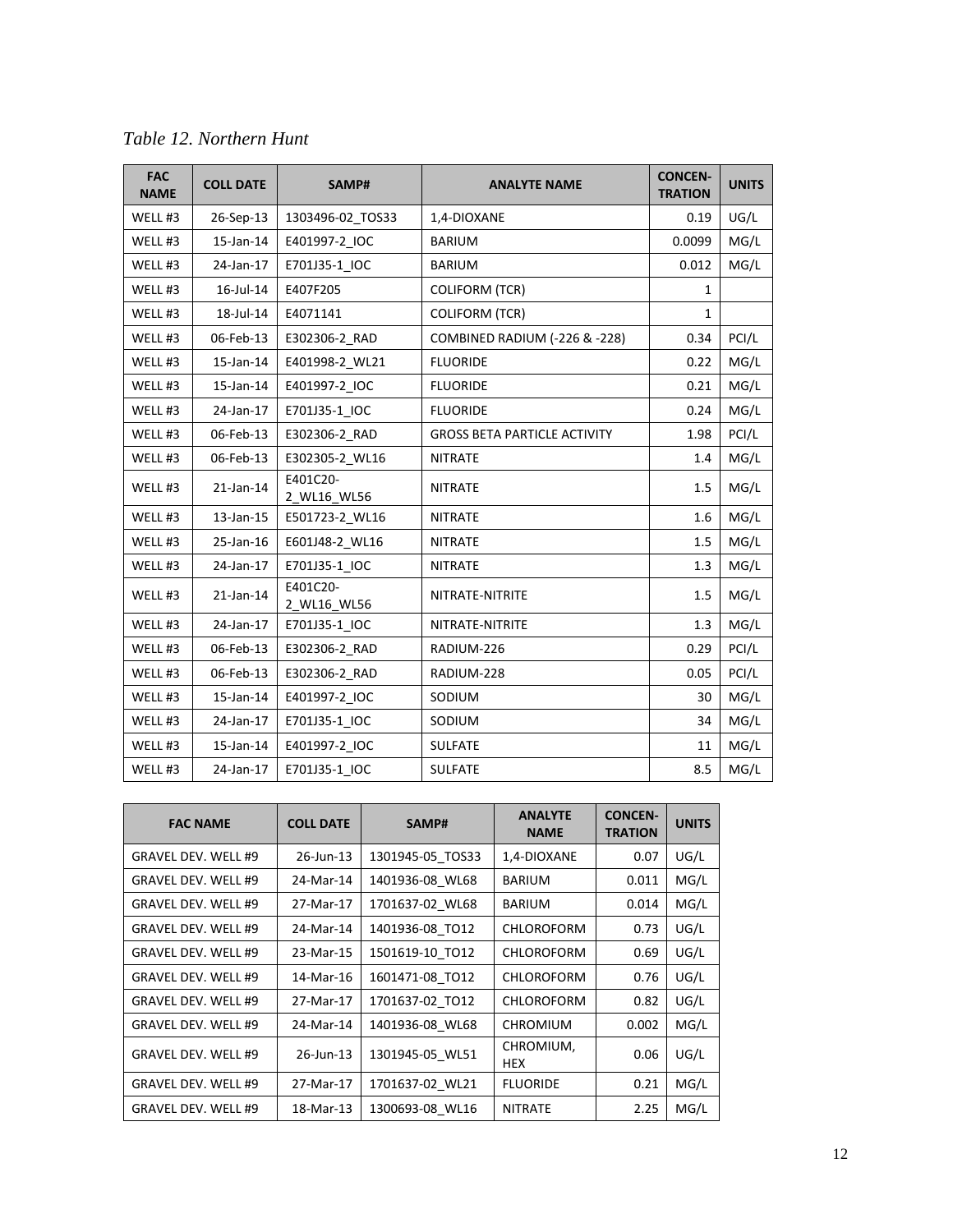| <b>FAC</b><br><b>NAME</b> | <b>COLL DATE</b> | SAMP#                   | <b>ANALYTE NAME</b>                      | <b>CONCEN-</b><br><b>TRATION</b> | <b>UNITS</b> |
|---------------------------|------------------|-------------------------|------------------------------------------|----------------------------------|--------------|
| WELL #3                   | 26-Sep-13        | 1303496-02_TOS33        | 1,4-DIOXANE                              | 0.19                             | UG/L         |
| WELL #3                   | 15-Jan-14        | E401997-2 IOC           | <b>BARIUM</b>                            | 0.0099                           | MG/L         |
| WELL #3                   | 24-Jan-17        | E701J35-1_IOC           | <b>BARIUM</b>                            | 0.012                            | MG/L         |
| WELL #3                   | 16-Jul-14        | E407F205                | <b>COLIFORM (TCR)</b>                    | 1                                |              |
| WELL <sub>#3</sub>        | 18-Jul-14        | E4071141                | <b>COLIFORM (TCR)</b>                    | $\mathbf{1}$                     |              |
| WELL #3                   | 06-Feb-13        | E302306-2_RAD           | <b>COMBINED RADIUM (-226 &amp; -228)</b> | 0.34                             | PCI/L        |
| WELL #3                   | 15-Jan-14        | E401998-2 WL21          | <b>FLUORIDE</b>                          | 0.22                             | MG/L         |
| WELL #3                   | 15-Jan-14        | E401997-2 IOC           | <b>FLUORIDE</b>                          | 0.21                             | MG/L         |
| WELL #3                   | 24-Jan-17        | E701J35-1 IOC           | <b>FLUORIDE</b>                          | 0.24                             | MG/L         |
| WELL #3                   | 06-Feb-13        | E302306-2 RAD           | <b>GROSS BETA PARTICLE ACTIVITY</b>      | 1.98                             | PCI/L        |
| WELL #3                   | 06-Feb-13        | E302305-2 WL16          | <b>NITRATE</b>                           | 1.4                              | MG/L         |
| WELL #3                   | 21-Jan-14        | E401C20-<br>2 WL16 WL56 | <b>NITRATE</b>                           | 1.5                              | MG/L         |
| WELL #3                   | 13-Jan-15        | E501723-2_WL16          | <b>NITRATE</b>                           | 1.6                              | MG/L         |
| WELL #3                   | 25-Jan-16        | E601J48-2 WL16          | <b>NITRATE</b>                           | 1.5                              | MG/L         |
| WELL #3                   | 24-Jan-17        | E701J35-1 IOC           | <b>NITRATE</b>                           | 1.3                              | MG/L         |
| WELL <sub>#3</sub>        | 21-Jan-14        | E401C20-<br>2 WL16 WL56 | NITRATE-NITRITE                          | 1.5                              | MG/L         |
| WELL #3                   | 24-Jan-17        | E701J35-1_IOC           | NITRATE-NITRITE                          | 1.3                              | MG/L         |
| WELL #3                   | 06-Feb-13        | E302306-2_RAD           | RADIUM-226                               | 0.29                             | PCI/L        |
| WELL #3                   | 06-Feb-13        | E302306-2 RAD           | RADIUM-228                               | 0.05                             | PCI/L        |
| WELL #3                   | $15$ -Jan- $14$  | E401997-2 IOC           | SODIUM                                   | 30                               | MG/L         |
| WELL #3                   | 24-Jan-17        | E701J35-1 IOC           | SODIUM                                   | 34                               | MG/L         |
| WELL #3                   | 15-Jan-14        | E401997-2_IOC           | <b>SULFATE</b>                           | 11                               | MG/L         |
| WELL #3                   | 24-Jan-17        | E701J35-1 IOC           | <b>SULFATE</b>                           | 8.5                              | MG/L         |

| <b>FAC NAME</b>            | <b>COLL DATE</b> | SAMP#            | <b>ANALYTE</b><br><b>NAME</b> | <b>CONCEN-</b><br><b>TRATION</b> | <b>UNITS</b> |
|----------------------------|------------------|------------------|-------------------------------|----------------------------------|--------------|
| <b>GRAVEL DEV. WELL #9</b> | 26-Jun-13        | 1301945-05 TOS33 | 1,4-DIOXANE                   | 0.07                             | UG/L         |
| <b>GRAVEL DEV. WELL #9</b> | 24-Mar-14        | 1401936-08 WL68  | <b>BARIUM</b>                 | 0.011                            | MG/L         |
| <b>GRAVEL DEV. WELL #9</b> | 27-Mar-17        | 1701637-02 WL68  | <b>BARIUM</b>                 | 0.014                            | MG/L         |
| <b>GRAVEL DEV. WELL #9</b> | 24-Mar-14        | 1401936-08 TO12  | <b>CHLOROFORM</b>             | 0.73                             | UG/L         |
| GRAVEL DEV. WELL #9        | 23-Mar-15        | 1501619-10 TO12  | <b>CHLOROFORM</b>             | 0.69                             | UG/L         |
| <b>GRAVEL DEV. WELL #9</b> | 14-Mar-16        | 1601471-08 TO12  | <b>CHLOROFORM</b>             | 0.76                             | UG/L         |
| <b>GRAVEL DEV. WELL #9</b> | 27-Mar-17        | 1701637-02 TO12  | <b>CHLOROFORM</b>             | 0.82                             | UG/L         |
| <b>GRAVEL DEV. WELL #9</b> | 24-Mar-14        | 1401936-08 WL68  | <b>CHROMIUM</b>               | 0.002                            | MG/L         |
| <b>GRAVEL DEV. WELL #9</b> | 26-Jun-13        | 1301945-05 WL51  | CHROMIUM,<br><b>HEX</b>       | 0.06                             | UG/L         |
| <b>GRAVEL DEV. WELL #9</b> | 27-Mar-17        | 1701637-02 WL21  | <b>FLUORIDE</b>               | 0.21                             | MG/L         |
| <b>GRAVEL DEV. WELL #9</b> | 18-Mar-13        | 1300693-08_WL16  | <b>NITRATE</b>                | 2.25                             | MG/L         |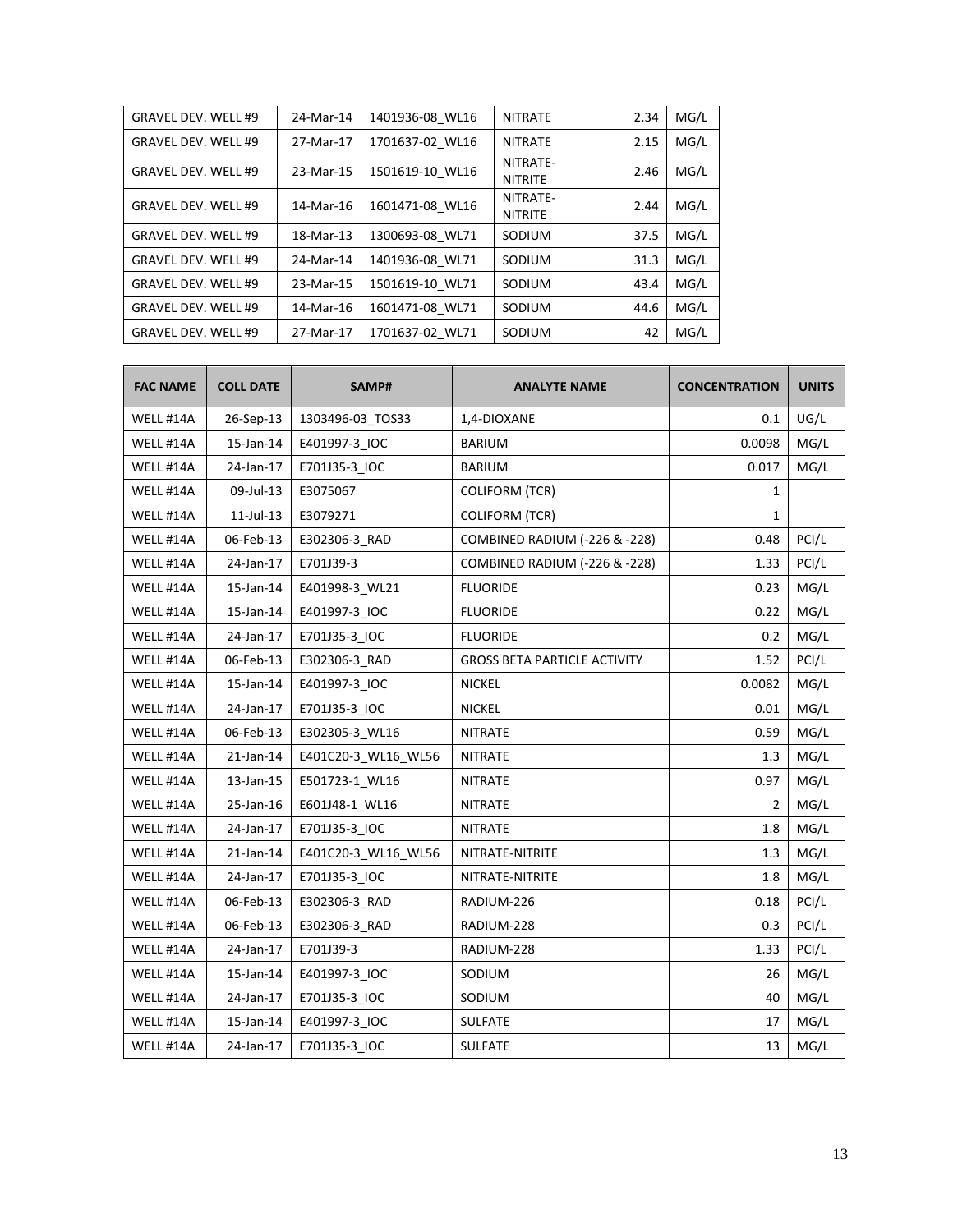| <b>GRAVEL DEV. WELL #9</b> | 24-Mar-14 | 1401936-08 WL16 | <b>NITRATE</b>             | 2.34 | MG/L |
|----------------------------|-----------|-----------------|----------------------------|------|------|
| <b>GRAVEL DEV. WELL #9</b> | 27-Mar-17 | 1701637-02 WL16 | <b>NITRATE</b>             | 2.15 | MG/L |
| GRAVEL DEV. WELL #9        | 23-Mar-15 | 1501619-10 WL16 | NITRATE-<br><b>NITRITE</b> | 2.46 | MG/L |
| <b>GRAVEL DEV. WELL #9</b> | 14-Mar-16 | 1601471-08 WL16 | NITRATE-<br><b>NITRITE</b> | 2.44 | MG/L |
| <b>GRAVEL DEV. WELL #9</b> | 18-Mar-13 | 1300693-08 WL71 | SODIUM                     | 37.5 | MG/L |
| GRAVEL DEV. WELL #9        | 24-Mar-14 | 1401936-08 WL71 | SODIUM                     | 31.3 | MG/L |
| GRAVEL DEV. WELL #9        | 23-Mar-15 | 1501619-10 WL71 | SODIUM                     | 43.4 | MG/L |
| <b>GRAVEL DEV. WELL #9</b> | 14-Mar-16 | 1601471-08 WL71 | SODIUM                     | 44.6 | MG/L |
| <b>GRAVEL DEV. WELL #9</b> | 27-Mar-17 | 1701637-02 WL71 | SODIUM                     | 42   | MG/L |

| <b>FAC NAME</b> | <b>COLL DATE</b> | SAMP#               | <b>ANALYTE NAME</b>                      | <b>CONCENTRATION</b> | <b>UNITS</b> |
|-----------------|------------------|---------------------|------------------------------------------|----------------------|--------------|
| WELL #14A       | 26-Sep-13        | 1303496-03_TOS33    | 1,4-DIOXANE                              | 0.1                  | UG/L         |
| WELL #14A       | 15-Jan-14        | E401997-3_IOC       | BARIUM                                   | 0.0098               | MG/L         |
| WELL #14A       | 24-Jan-17        | E701J35-3 IOC       | BARIUM                                   | 0.017                | MG/L         |
| WELL #14A       | 09-Jul-13        | E3075067            | <b>COLIFORM (TCR)</b>                    | 1                    |              |
| WELL #14A       | $11$ -Jul-13     | E3079271            | <b>COLIFORM (TCR)</b>                    | 1                    |              |
| WELL #14A       | 06-Feb-13        | E302306-3 RAD       | <b>COMBINED RADIUM (-226 &amp; -228)</b> | 0.48                 | PCI/L        |
| WELL #14A       | 24-Jan-17        | E701J39-3           | COMBINED RADIUM (-226 & -228)            | 1.33                 | PCI/L        |
| WELL #14A       | 15-Jan-14        | E401998-3 WL21      | <b>FLUORIDE</b>                          | 0.23                 | MG/L         |
| WELL #14A       | 15-Jan-14        | E401997-3_IOC       | <b>FLUORIDE</b>                          | 0.22                 | MG/L         |
| WELL #14A       | 24-Jan-17        | E701J35-3 IOC       | <b>FLUORIDE</b>                          | 0.2                  | MG/L         |
| WELL #14A       | 06-Feb-13        | E302306-3 RAD       | <b>GROSS BETA PARTICLE ACTIVITY</b>      | 1.52                 | PCI/L        |
| WELL #14A       | 15-Jan-14        | E401997-3_IOC       | <b>NICKEL</b>                            | 0.0082               | MG/L         |
| WELL #14A       | 24-Jan-17        | E701J35-3 IOC       | <b>NICKEL</b>                            | 0.01                 | MG/L         |
| WELL #14A       | 06-Feb-13        | E302305-3 WL16      | <b>NITRATE</b>                           | 0.59                 | MG/L         |
| WELL #14A       | $21$ -Jan- $14$  | E401C20-3_WL16_WL56 | <b>NITRATE</b>                           | 1.3                  | MG/L         |
| WELL #14A       | 13-Jan-15        | E501723-1_WL16      | <b>NITRATE</b>                           | 0.97                 | MG/L         |
| WELL #14A       | 25-Jan-16        | E601J48-1 WL16      | <b>NITRATE</b>                           | 2                    | MG/L         |
| WELL #14A       | 24-Jan-17        | E701J35-3 IOC       | <b>NITRATE</b>                           | 1.8                  | MG/L         |
| WELL #14A       | $21$ -Jan- $14$  | E401C20-3_WL16_WL56 | NITRATE-NITRITE                          | 1.3                  | MG/L         |
| WELL #14A       | 24-Jan-17        | E701J35-3 IOC       | NITRATE-NITRITE                          | 1.8                  | MG/L         |
| WELL #14A       | 06-Feb-13        | E302306-3 RAD       | RADIUM-226                               | 0.18                 | PCI/L        |
| WELL #14A       | 06-Feb-13        | E302306-3_RAD       | RADIUM-228                               | 0.3                  | PCI/L        |
| WELL #14A       | 24-Jan-17        | E701J39-3           | RADIUM-228                               | 1.33                 | PCI/L        |
| WELL #14A       | 15-Jan-14        | E401997-3 IOC       | SODIUM                                   | 26                   | MG/L         |
| WELL #14A       | 24-Jan-17        | E701J35-3 IOC       | SODIUM                                   | 40                   | MG/L         |
| WELL #14A       | 15-Jan-14        | E401997-3_IOC       | <b>SULFATE</b>                           | 17                   | MG/L         |
| WELL #14A       | 24-Jan-17        | E701J35-3_IOC       | SULFATE                                  | 13                   | MG/L         |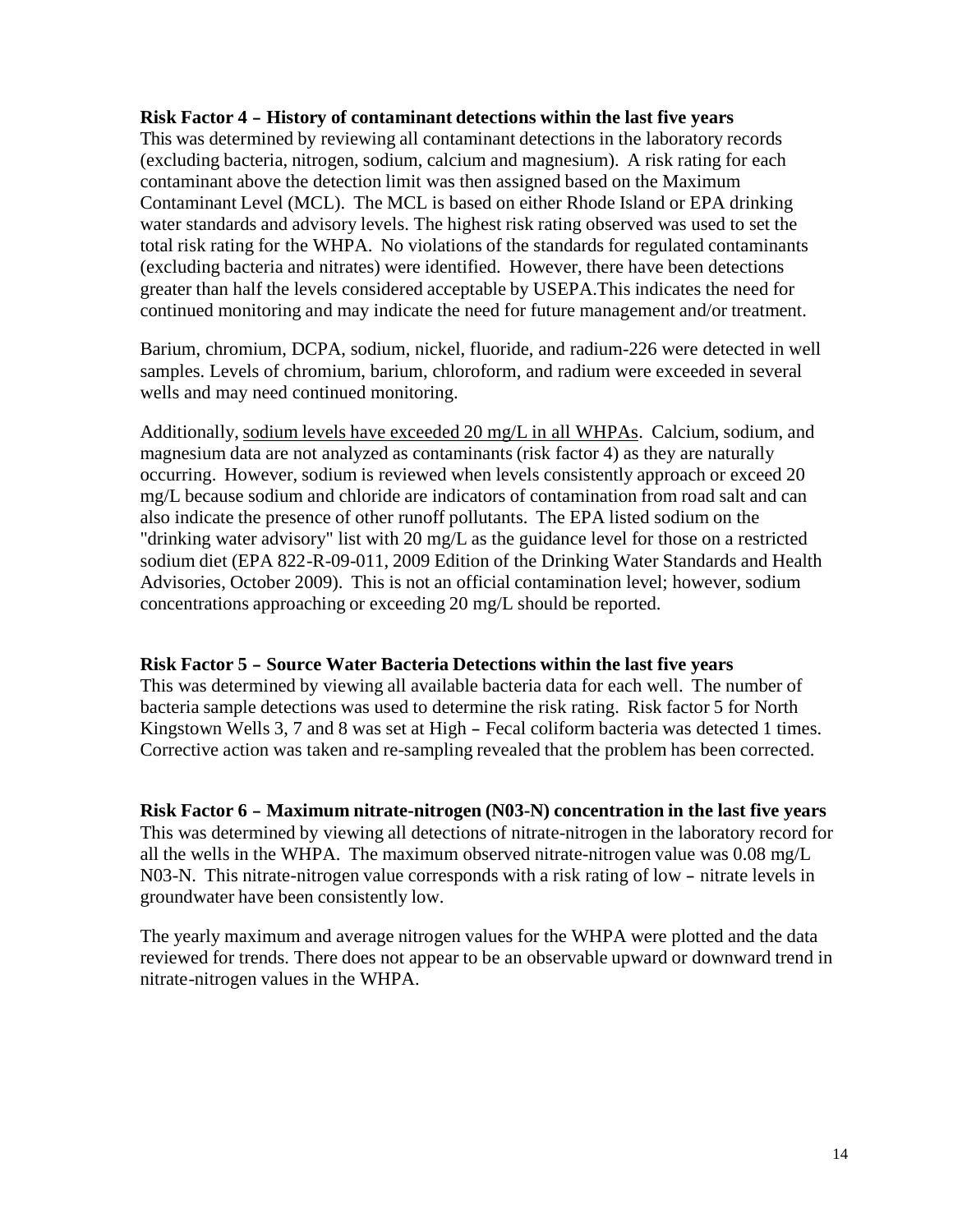#### **Risk Factor <sup>4</sup> - History of contaminant detections within the last five years**

This was determined by reviewing all contaminant detections in the laboratory records (excluding bacteria, nitrogen, sodium, calcium and magnesium). A risk rating for each contaminant above the detection limit was then assigned based on the Maximum Contaminant Level (MCL). The MCL is based on either Rhode Island or EPA drinking water standards and advisory levels. The highest risk rating observed was used to set the total risk rating for the WHPA. No violations of the standards for regulated contaminants (excluding bacteria and nitrates) were identified. However, there have been detections greater than half the levels considered acceptable by USEPA.This indicates the need for continued monitoring and may indicate the need for future management and/or treatment.

Barium, chromium, DCPA, sodium, nickel, fluoride, and radium-226 were detected in well samples. Levels of chromium, barium, chloroform, and radium were exceeded in several wells and may need continued monitoring.

Additionally, sodium levels have exceeded 20 mg/L in all WHPAs. Calcium, sodium, and magnesium data are not analyzed as contaminants (risk factor 4) as they are naturally occurring. However, sodium is reviewed when levels consistently approach or exceed 20 mg/L because sodium and chloride are indicators of contamination from road salt and can also indicate the presence of other runoff pollutants. The EPA listed sodium on the "drinking water advisory" list with 20 mg/L as the guidance level for those on a restricted sodium diet (EPA 822-R-09-011, 2009 Edition of the Drinking Water Standards and Health Advisories, October 2009). This is not an official contamination level; however, sodium concentrations approaching or exceeding 20 mg/L should be reported.

### **Risk Factor <sup>5</sup> - Source Water Bacteria Detections within the last five years**

This was determined by viewing all available bacteria data for each well. The number of bacteria sample detections was used to determine the risk rating. Risk factor 5 for North Kingstown Wells 3, 7 and 8 was set at High - Fecal coliform bacteria was detected 1 times. Corrective action was taken and re-sampling revealed that the problem has been corrected.

**Risk Factor <sup>6</sup> - Maximum nitrate-nitrogen (N03-N) concentration in the last five years** This was determined by viewing all detections of nitrate-nitrogen in the laboratory record for all the wells in the WHPA. The maximum observed nitrate-nitrogen value was 0.08 mg/L N03-N. This nitrate-nitrogen value corresponds with a risk rating of low - nitrate levels in groundwater have been consistently low.

The yearly maximum and average nitrogen values for the WHPA were plotted and the data reviewed for trends. There does not appear to be an observable upward or downward trend in nitrate-nitrogen values in the WHPA.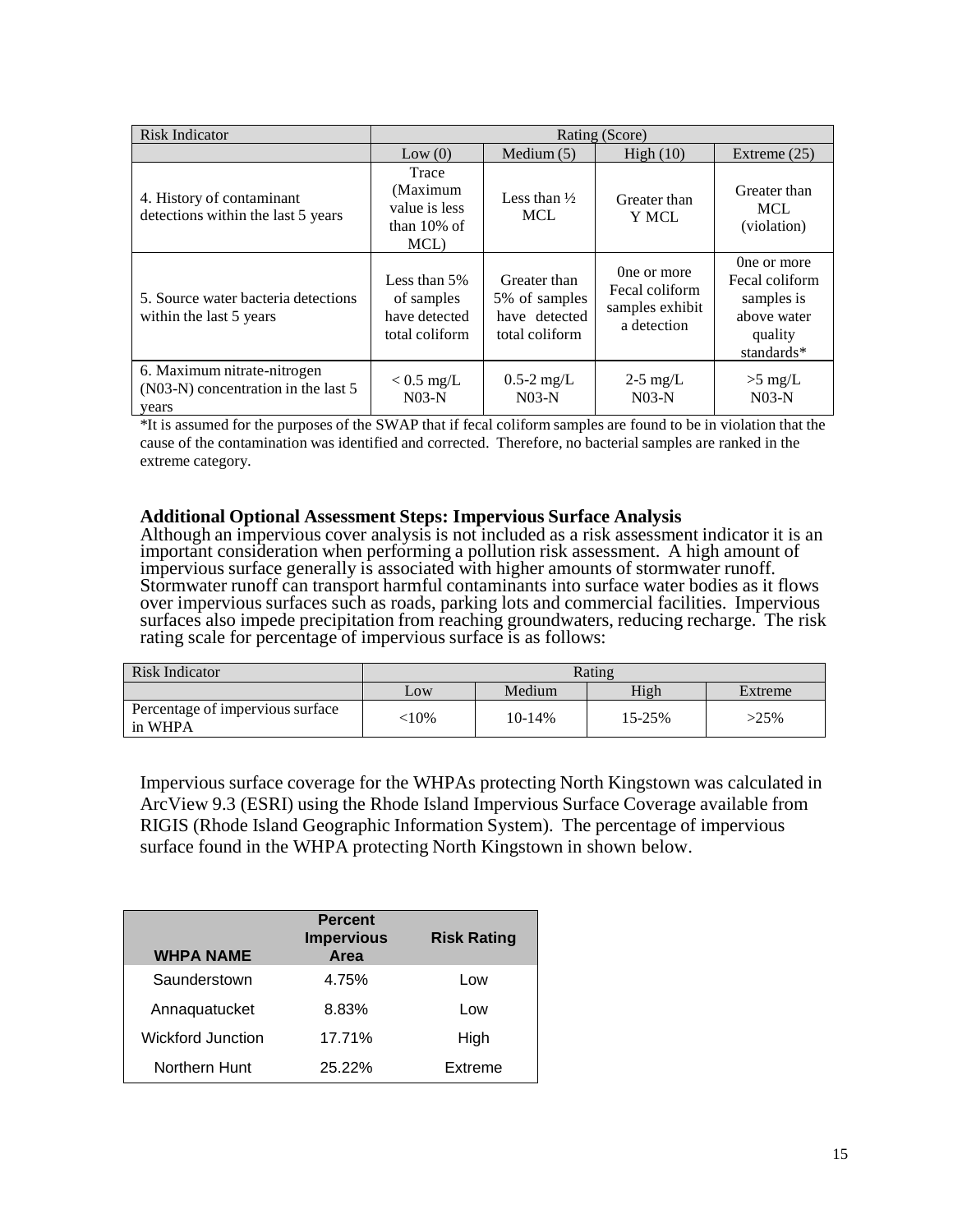| <b>Risk Indicator</b>                                                       | Rating (Score)                                                |                                                                  |                                                                 |                                                                                     |  |
|-----------------------------------------------------------------------------|---------------------------------------------------------------|------------------------------------------------------------------|-----------------------------------------------------------------|-------------------------------------------------------------------------------------|--|
|                                                                             | Low(0)                                                        | Medium $(5)$                                                     | High $(10)$                                                     | Extreme $(25)$                                                                      |  |
| 4. History of contaminant<br>detections within the last 5 years             | Trace<br>(Maximum<br>value is less<br>than $10\%$ of<br>MCL)  | Less than $\frac{1}{2}$<br><b>MCL</b>                            | Greater than<br>Y MCL                                           | Greater than<br><b>MCL</b><br>(violation)                                           |  |
| 5. Source water bacteria detections<br>within the last 5 years              | Less than 5%<br>of samples<br>have detected<br>total coliform | Greater than<br>5% of samples<br>have detected<br>total coliform | One or more<br>Fecal coliform<br>samples exhibit<br>a detection | One or more<br>Fecal coliform<br>samples is<br>above water<br>quality<br>standards* |  |
| 6. Maximum nitrate-nitrogen<br>(N03-N) concentration in the last 5<br>years | $< 0.5$ mg/L<br>$N03-N$                                       | $0.5 - 2$ mg/L<br>$N03-N$                                        | $2-5$ mg/L<br>$N03-N$                                           | $>5$ mg/L<br>$N03-N$                                                                |  |

\*It is assumed for the purposes of the SWAP that if fecal coliform samples are found to be in violation that the cause of the contamination was identified and corrected. Therefore, no bacterial samples are ranked in the extreme category.

#### **Additional Optional Assessment Steps: Impervious Surface Analysis**

Although an impervious cover analysis is not included as a risk assessment indicator it is an important consideration when performing a pollution risk assessment. A high amount of impervious surface generally is associated with higher amounts of stormwater runoff. Stormwater runoff can transport harmful contaminants into surface water bodies as it flows over impervious surfaces such as roads, parking lots and commercial facilities. Impervious surfaces also impede precipitation from reaching groundwaters, reducing recharge. The risk rating scale for percentage of impervious surface is as follows:

| Risk Indicator                              | Rating |          |        |         |
|---------------------------------------------|--------|----------|--------|---------|
|                                             | Low    | Medium   | High   | Extreme |
| Percentage of impervious surface<br>in WHPA | :10%   | $10-14%$ | 15-25% | $>25\%$ |

Impervious surface coverage for the WHPAs protecting North Kingstown was calculated in ArcView 9.3 (ESRI) using the Rhode Island Impervious Surface Coverage available from RIGIS (Rhode Island Geographic Information System). The percentage of impervious surface found in the WHPA protecting North Kingstown in shown below.

| <b>WHPA NAME</b>         | <b>Percent</b><br><b>Impervious</b><br>Area | <b>Risk Rating</b> |
|--------------------------|---------------------------------------------|--------------------|
| Saunderstown             | 4.75%                                       | Low                |
| Annaquatucket            | 8.83%                                       | Low                |
| <b>Wickford Junction</b> | 17.71%                                      | High               |
| Northern Hunt            | 25.22%                                      | Extreme            |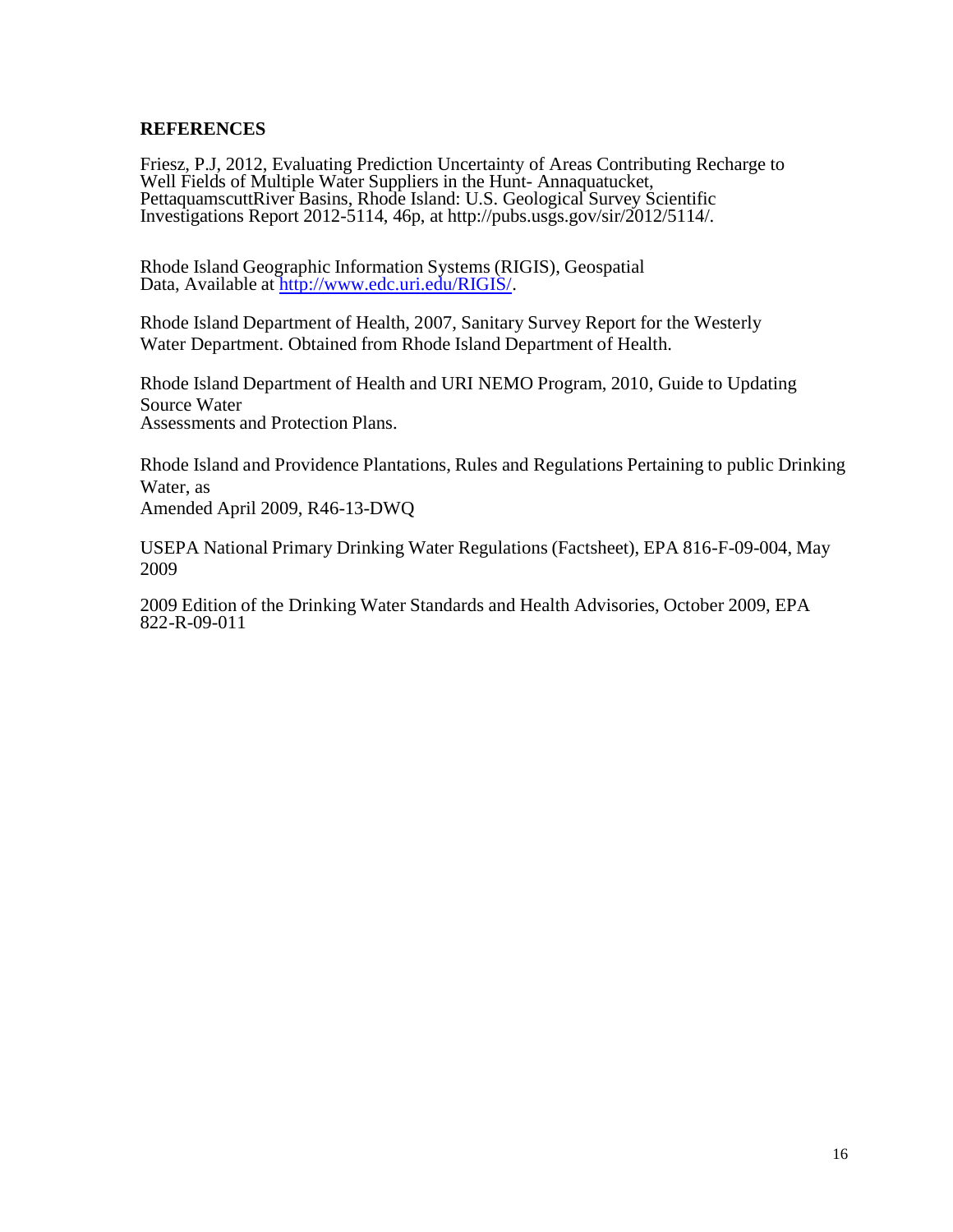### **REFERENCES**

Friesz, P.J, 2012, Evaluating Prediction Uncertainty of Areas Contributing Recharge to Well Fields of Multiple Water Suppliers in the Hunt- Annaquatucket, PettaquamscuttRiver Basins, Rhode Island: U.S. Geological Survey Scientific Investigations Report 2012-5114, 46p, at http://pubs.usgs.gov/sir/2012/5114/.

Rhode Island Geographic Information Systems (RIGIS), Geospatial Data, Available at [http://www.edc.uri.edu/RIGIS/.](http://www.edc.uri.edu/RIGIS/)

Rhode Island Department of Health, 2007, Sanitary Survey Report for the Westerly Water Department. Obtained from Rhode Island Department of Health.

Rhode Island Department of Health and URI NEMO Program, 2010, Guide to Updating Source Water Assessments and Protection Plans.

Rhode Island and Providence Plantations, Rules and Regulations Pertaining to public Drinking Water, as

Amended April 2009, R46-13-DWQ

USEPA National Primary Drinking Water Regulations (Factsheet), EPA 816-F-09-004, May 2009

2009 Edition of the Drinking Water Standards and Health Advisories, October 2009, EPA 822-R-09-011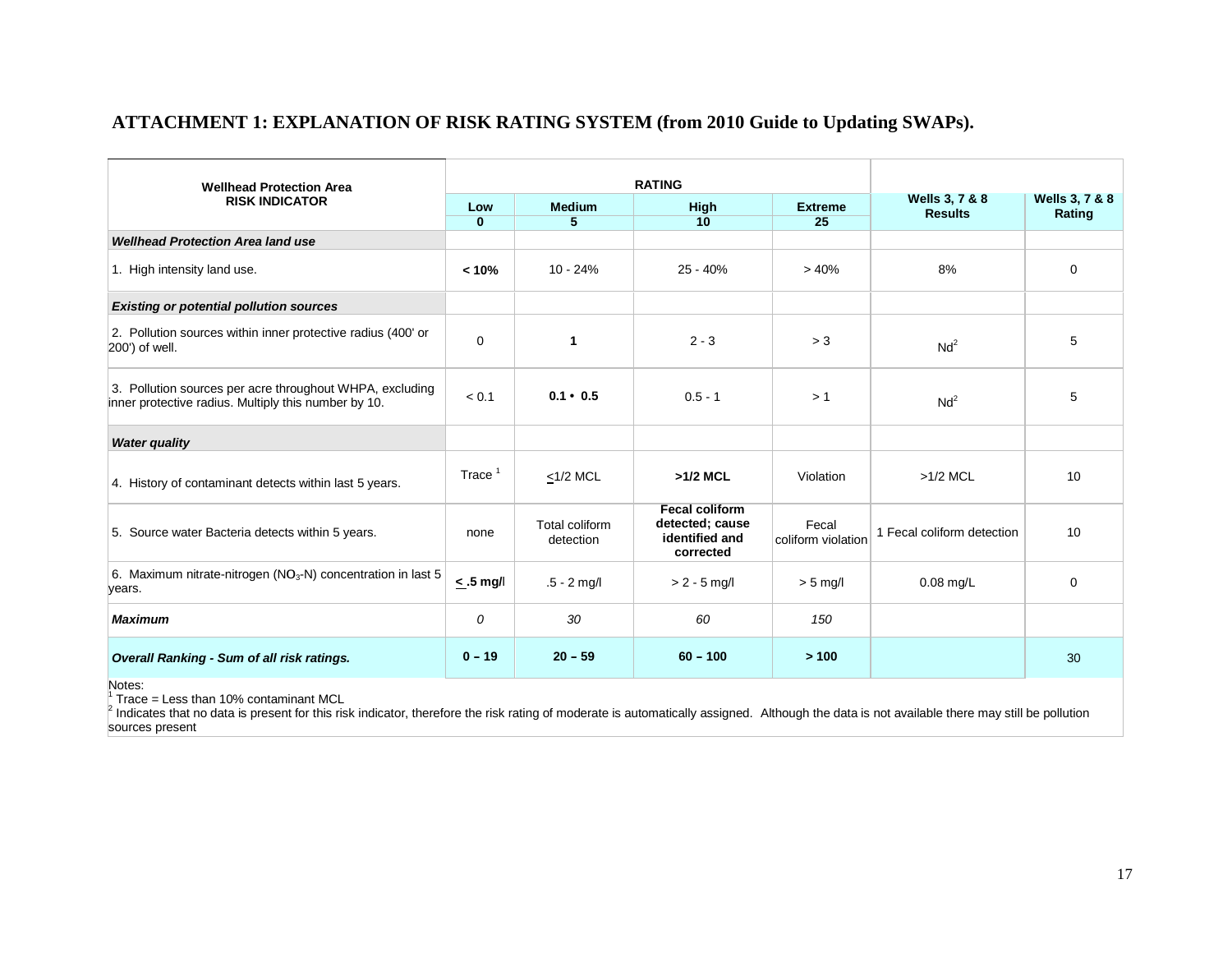## **ATTACHMENT 1: EXPLANATION OF RISK RATING SYSTEM (from 2010 Guide to Updating SWAPs).**

| <b>Wellhead Protection Area</b><br><b>RISK INDICATOR</b>                                                         | <b>RATING</b>         |                             |                                                                         |                             |                                             |                                     |
|------------------------------------------------------------------------------------------------------------------|-----------------------|-----------------------------|-------------------------------------------------------------------------|-----------------------------|---------------------------------------------|-------------------------------------|
|                                                                                                                  | Low<br>$\overline{0}$ | <b>Medium</b><br>5          | High<br>10                                                              | <b>Extreme</b><br>25        | <b>Wells 3, 7 &amp; 8</b><br><b>Results</b> | <b>Wells 3, 7 &amp; 8</b><br>Rating |
| <b>Wellhead Protection Area land use</b>                                                                         |                       |                             |                                                                         |                             |                                             |                                     |
| 1. High intensity land use.                                                                                      | < 10%                 | $10 - 24%$                  | $25 - 40%$                                                              | >40%                        | 8%                                          | 0                                   |
| <b>Existing or potential pollution sources</b>                                                                   |                       |                             |                                                                         |                             |                                             |                                     |
| 2. Pollution sources within inner protective radius (400' or<br>200') of well.                                   | $\mathbf 0$           | $\mathbf{1}$                | $2 - 3$                                                                 | > 3                         | Nd <sup>2</sup>                             | 5                                   |
| 3. Pollution sources per acre throughout WHPA, excluding<br>inner protective radius. Multiply this number by 10. | < 0.1                 | $0.1 \cdot 0.5$             | $0.5 - 1$                                                               | >1                          | Nd <sup>2</sup>                             | 5                                   |
| <b>Water quality</b>                                                                                             |                       |                             |                                                                         |                             |                                             |                                     |
| 4. History of contaminant detects within last 5 years.                                                           | Trace $1$             | $\leq$ 1/2 MCL              | $>1/2$ MCL                                                              | Violation                   | $>1/2$ MCL                                  | 10                                  |
| 5. Source water Bacteria detects within 5 years.                                                                 | none                  | Total coliform<br>detection | <b>Fecal coliform</b><br>detected; cause<br>identified and<br>corrected | Fecal<br>coliform violation | 1 Fecal coliform detection                  | 10                                  |
| 6. Maximum nitrate-nitrogen (NO <sub>3</sub> -N) concentration in last 5<br>years.                               | $< .5$ mg/            | $.5 - 2$ mg/l               | $> 2 - 5$ mg/l                                                          | $> 5$ mg/l                  | $0.08$ mg/L                                 | $\mathbf 0$                         |
| <b>Maximum</b>                                                                                                   | 0                     | 30                          | 60                                                                      | 150                         |                                             |                                     |
| Overall Ranking - Sum of all risk ratings.                                                                       | $0 - 19$              | $20 - 59$                   | $60 - 100$                                                              | >100                        |                                             | 30                                  |

Notes:

<sup>1</sup> Trace = Less than 10% contaminant MCL

<sup>2</sup> Indicates that no data is present for this risk indicator, therefore the risk rating of moderate is automatically assigned. Although the data is not available there may still be pollution sources present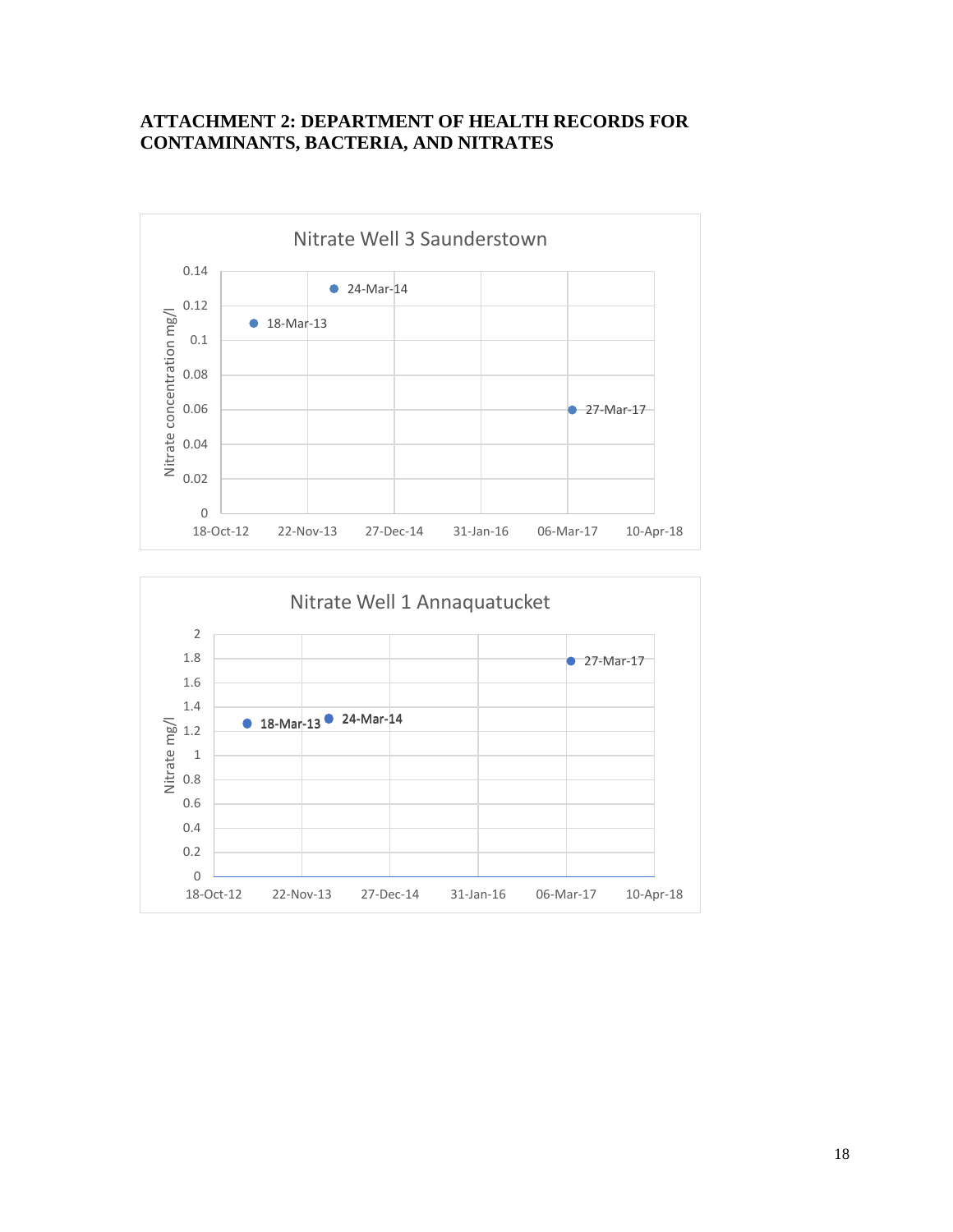### **ATTACHMENT 2: DEPARTMENT OF HEALTH RECORDS FOR CONTAMINANTS, BACTERIA, AND NITRATES**



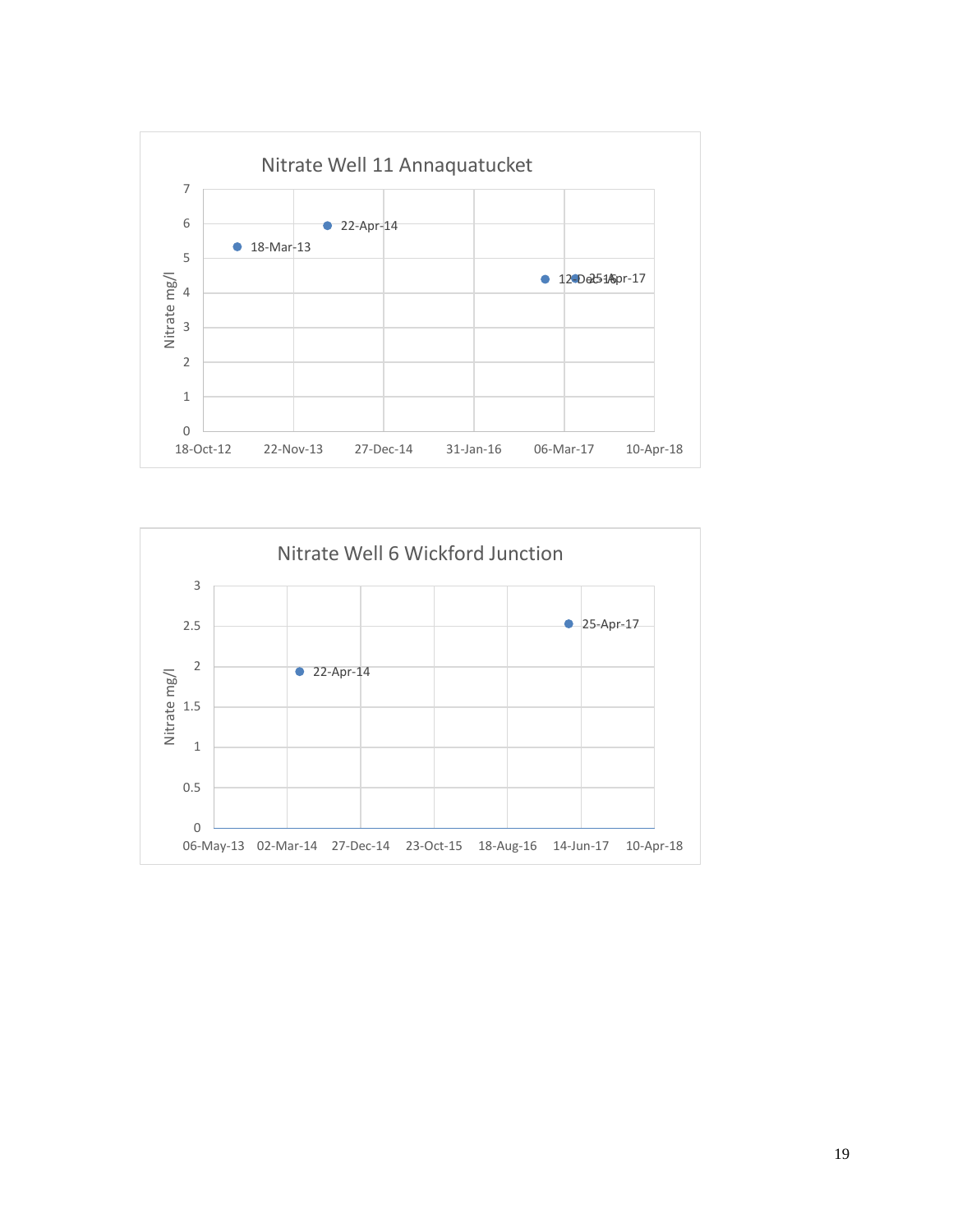